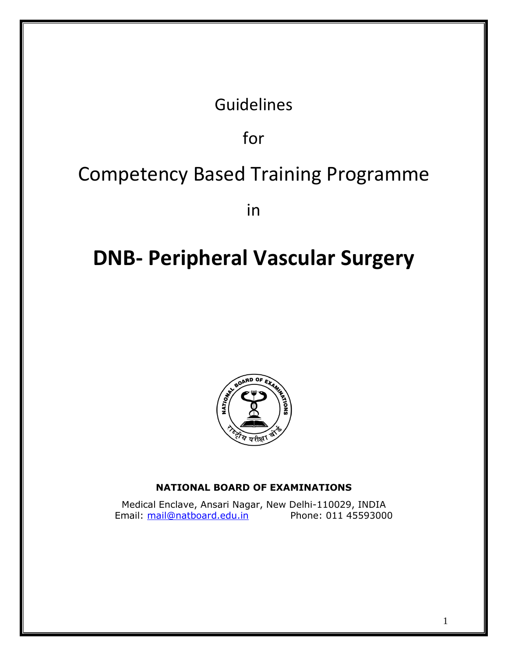# Guidelines

for

# Competency Based Training Programme

in

# **DNB- Peripheral Vascular Surgery**



# **NATIONAL BOARD OF EXAMINATIONS**

Medical Enclave, Ansari Nagar, New Delhi-110029, INDIA Email: [mail@natboard.edu.in](mailto:mail@natboard.edu.in) Phone: 011 45593000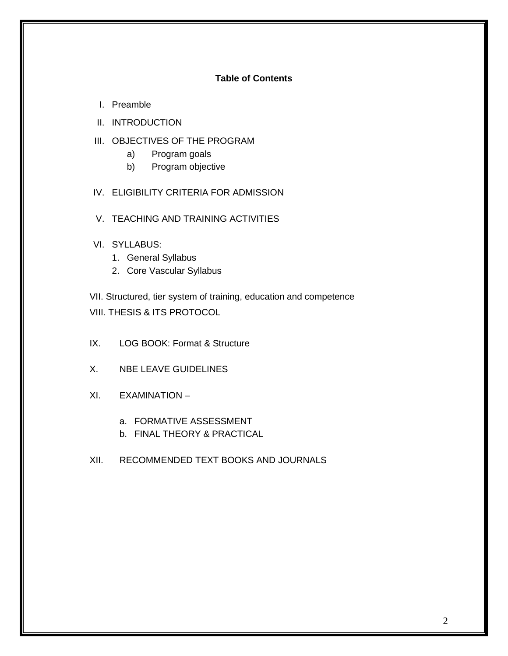# **Table of Contents**

- I. Preamble
- II. INTRODUCTION
- III. OBJECTIVES OF THE PROGRAM
	- a) Program goals
	- b) Program objective
- IV. ELIGIBILITY CRITERIA FOR ADMISSION
- V. TEACHING AND TRAINING ACTIVITIES
- VI. SYLLABUS:
	- 1. General Syllabus
	- 2. Core Vascular Syllabus

VII. Structured, tier system of training, education and competence VIII. THESIS & ITS PROTOCOL

- IX. LOG BOOK: Format & Structure
- X. NBE LEAVE GUIDELINES
- XI. EXAMINATION
	- a. FORMATIVE ASSESSMENT
	- b. FINAL THEORY & PRACTICAL
- XII. RECOMMENDED TEXT BOOKS AND JOURNALS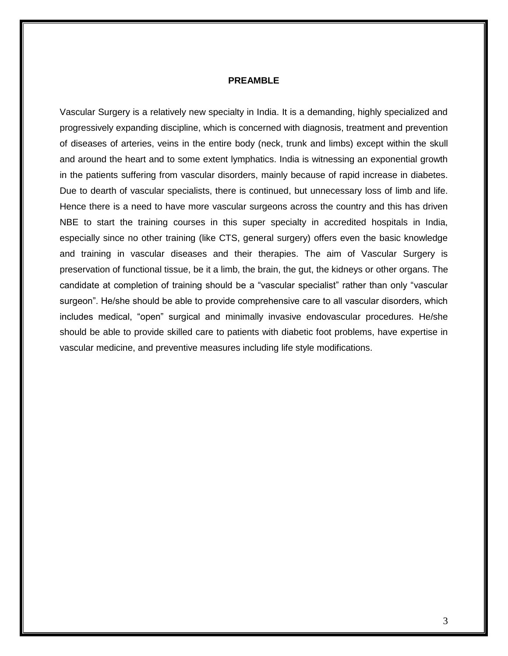#### **PREAMBLE**

Vascular Surgery is a relatively new specialty in India. It is a demanding, highly specialized and progressively expanding discipline, which is concerned with diagnosis, treatment and prevention of diseases of arteries, veins in the entire body (neck, trunk and limbs) except within the skull and around the heart and to some extent lymphatics. India is witnessing an exponential growth in the patients suffering from vascular disorders, mainly because of rapid increase in diabetes. Due to dearth of vascular specialists, there is continued, but unnecessary loss of limb and life. Hence there is a need to have more vascular surgeons across the country and this has driven NBE to start the training courses in this super specialty in accredited hospitals in India, especially since no other training (like CTS, general surgery) offers even the basic knowledge and training in vascular diseases and their therapies. The aim of Vascular Surgery is preservation of functional tissue, be it a limb, the brain, the gut, the kidneys or other organs. The candidate at completion of training should be a "vascular specialist" rather than only "vascular surgeon". He/she should be able to provide comprehensive care to all vascular disorders, which includes medical, "open" surgical and minimally invasive endovascular procedures. He/she should be able to provide skilled care to patients with diabetic foot problems, have expertise in vascular medicine, and preventive measures including life style modifications.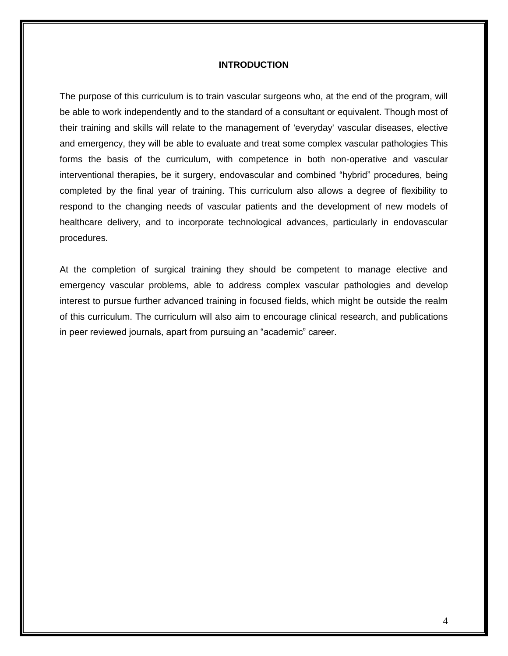#### **INTRODUCTION**

The purpose of this curriculum is to train vascular surgeons who, at the end of the program, will be able to work independently and to the standard of a consultant or equivalent. Though most of their training and skills will relate to the management of 'everyday' vascular diseases, elective and emergency, they will be able to evaluate and treat some complex vascular pathologies This forms the basis of the curriculum, with competence in both non-operative and vascular interventional therapies, be it surgery, endovascular and combined "hybrid" procedures, being completed by the final year of training. This curriculum also allows a degree of flexibility to respond to the changing needs of vascular patients and the development of new models of healthcare delivery, and to incorporate technological advances, particularly in endovascular procedures.

At the completion of surgical training they should be competent to manage elective and emergency vascular problems, able to address complex vascular pathologies and develop interest to pursue further advanced training in focused fields, which might be outside the realm of this curriculum. The curriculum will also aim to encourage clinical research, and publications in peer reviewed journals, apart from pursuing an "academic" career.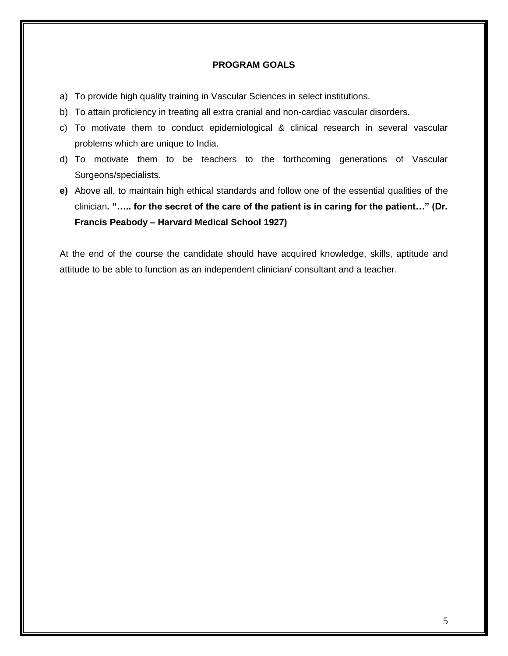#### **PROGRAM GOALS**

- a) To provide high quality training in Vascular Sciences in select institutions.
- b) To attain proficiency in treating all extra cranial and non-cardiac vascular disorders.
- c) To motivate them to conduct epidemiological & clinical research in several vascular problems which are unique to India.
- d) To motivate them to be teachers to the forthcoming generations of Vascular Surgeons/specialists.
- **e)** Above all, to maintain high ethical standards and follow one of the essential qualities of the clinician**. "….. for the secret of the care of the patient is in caring for the patient…" (Dr. Francis Peabody – Harvard Medical School 1927)**

At the end of the course the candidate should have acquired knowledge, skills, aptitude and attitude to be able to function as an independent clinician/ consultant and a teacher.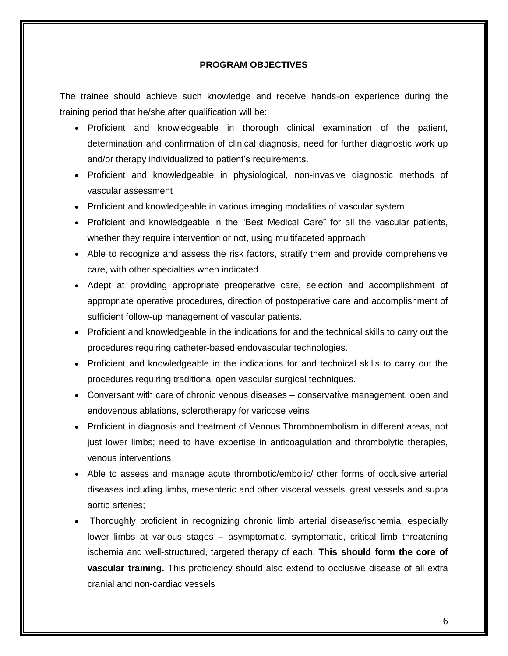#### **PROGRAM OBJECTIVES**

The trainee should achieve such knowledge and receive hands-on experience during the training period that he/she after qualification will be:

- Proficient and knowledgeable in thorough clinical examination of the patient, determination and confirmation of clinical diagnosis, need for further diagnostic work up and/or therapy individualized to patient's requirements.
- Proficient and knowledgeable in physiological, non-invasive diagnostic methods of vascular assessment
- Proficient and knowledgeable in various imaging modalities of vascular system
- Proficient and knowledgeable in the "Best Medical Care" for all the vascular patients, whether they require intervention or not, using multifaceted approach
- Able to recognize and assess the risk factors, stratify them and provide comprehensive care, with other specialties when indicated
- Adept at providing appropriate preoperative care, selection and accomplishment of appropriate operative procedures, direction of postoperative care and accomplishment of sufficient follow-up management of vascular patients.
- Proficient and knowledgeable in the indications for and the technical skills to carry out the procedures requiring catheter-based endovascular technologies.
- Proficient and knowledgeable in the indications for and technical skills to carry out the procedures requiring traditional open vascular surgical techniques.
- Conversant with care of chronic venous diseases conservative management, open and endovenous ablations, sclerotherapy for varicose veins
- Proficient in diagnosis and treatment of Venous Thromboembolism in different areas, not just lower limbs; need to have expertise in anticoagulation and thrombolytic therapies, venous interventions
- Able to assess and manage acute thrombotic/embolic/ other forms of occlusive arterial diseases including limbs, mesenteric and other visceral vessels, great vessels and supra aortic arteries;
- Thoroughly proficient in recognizing chronic limb arterial disease/ischemia, especially lower limbs at various stages – asymptomatic, symptomatic, critical limb threatening ischemia and well-structured, targeted therapy of each. **This should form the core of vascular training.** This proficiency should also extend to occlusive disease of all extra cranial and non-cardiac vessels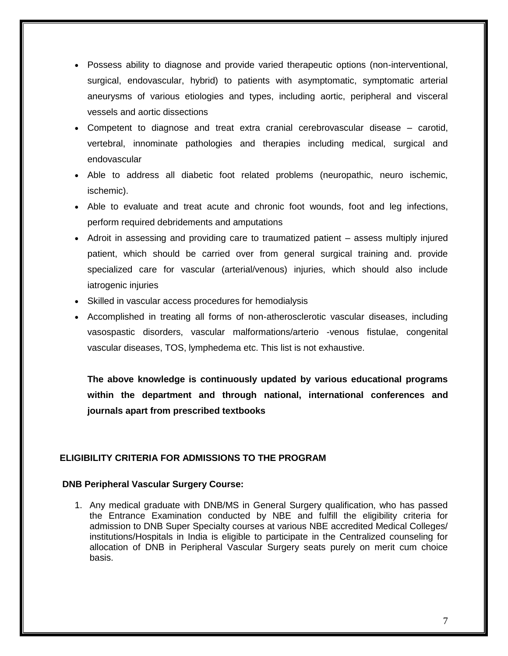- Possess ability to diagnose and provide varied therapeutic options (non-interventional, surgical, endovascular, hybrid) to patients with asymptomatic, symptomatic arterial aneurysms of various etiologies and types, including aortic, peripheral and visceral vessels and aortic dissections
- Competent to diagnose and treat extra cranial cerebrovascular disease carotid, vertebral, innominate pathologies and therapies including medical, surgical and endovascular
- Able to address all diabetic foot related problems (neuropathic, neuro ischemic, ischemic).
- Able to evaluate and treat acute and chronic foot wounds, foot and leg infections, perform required debridements and amputations
- Adroit in assessing and providing care to traumatized patient assess multiply injured patient, which should be carried over from general surgical training and. provide specialized care for vascular (arterial/venous) injuries, which should also include iatrogenic injuries
- Skilled in vascular access procedures for hemodialysis
- Accomplished in treating all forms of non-atherosclerotic vascular diseases, including vasospastic disorders, vascular malformations/arterio -venous fistulae, congenital vascular diseases, TOS, lymphedema etc. This list is not exhaustive.

**The above knowledge is continuously updated by various educational programs within the department and through national, international conferences and journals apart from prescribed textbooks**

# **ELIGIBILITY CRITERIA FOR ADMISSIONS TO THE PROGRAM**

#### **DNB Peripheral Vascular Surgery Course:**

1. Any medical graduate with DNB/MS in General Surgery qualification, who has passed the Entrance Examination conducted by NBE and fulfill the eligibility criteria for admission to DNB Super Specialty courses at various NBE accredited Medical Colleges/ institutions/Hospitals in India is eligible to participate in the Centralized counseling for allocation of DNB in Peripheral Vascular Surgery seats purely on merit cum choice basis.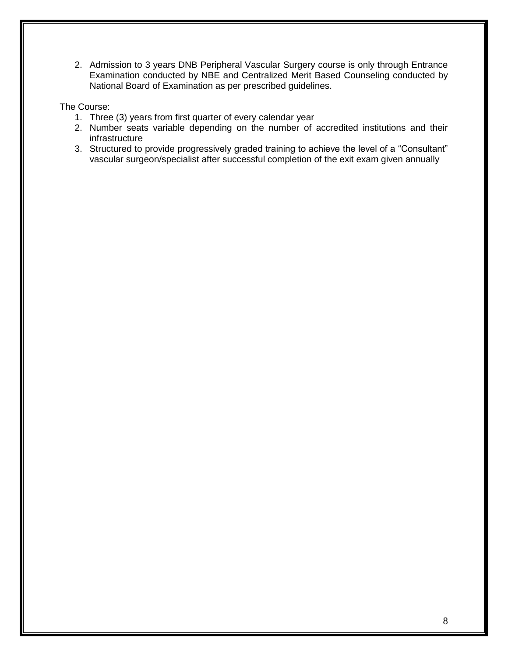2. Admission to 3 years DNB Peripheral Vascular Surgery course is only through Entrance Examination conducted by NBE and Centralized Merit Based Counseling conducted by National Board of Examination as per prescribed guidelines.

# The Course:

- 1. Three (3) years from first quarter of every calendar year
- 2. Number seats variable depending on the number of accredited institutions and their infrastructure
- 3. Structured to provide progressively graded training to achieve the level of a "Consultant" vascular surgeon/specialist after successful completion of the exit exam given annually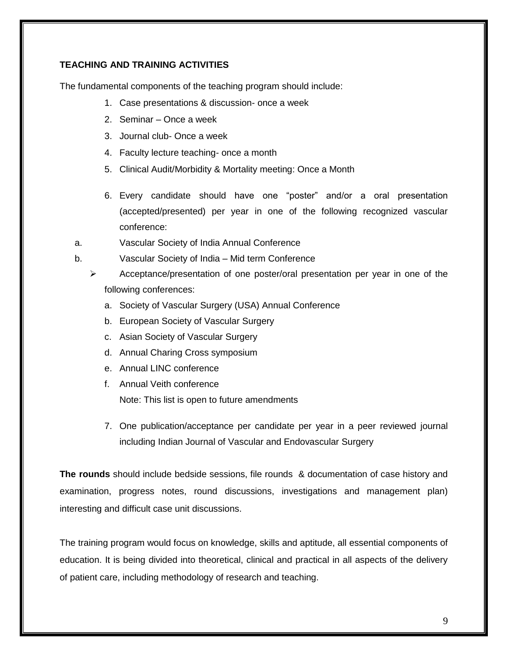# **TEACHING AND TRAINING ACTIVITIES**

The fundamental components of the teaching program should include:

- 1. Case presentations & discussion- once a week
- 2. Seminar Once a week
- 3. Journal club- Once a week
- 4. Faculty lecture teaching- once a month
- 5. Clinical Audit/Morbidity & Mortality meeting: Once a Month
- 6. Every candidate should have one "poster" and/or a oral presentation (accepted/presented) per year in one of the following recognized vascular conference:
- a. Vascular Society of India Annual Conference
- b. Vascular Society of India Mid term Conference
	- $\triangleright$  Acceptance/presentation of one poster/oral presentation per year in one of the following conferences:
		- a. Society of Vascular Surgery (USA) Annual Conference
		- b. European Society of Vascular Surgery
		- c. Asian Society of Vascular Surgery
		- d. Annual Charing Cross symposium
		- e. Annual LINC conference
		- f. Annual Veith conference

Note: This list is open to future amendments

7. One publication/acceptance per candidate per year in a peer reviewed journal including Indian Journal of Vascular and Endovascular Surgery

**The rounds** should include bedside sessions, file rounds & documentation of case history and examination, progress notes, round discussions, investigations and management plan) interesting and difficult case unit discussions.

The training program would focus on knowledge, skills and aptitude, all essential components of education. It is being divided into theoretical, clinical and practical in all aspects of the delivery of patient care, including methodology of research and teaching.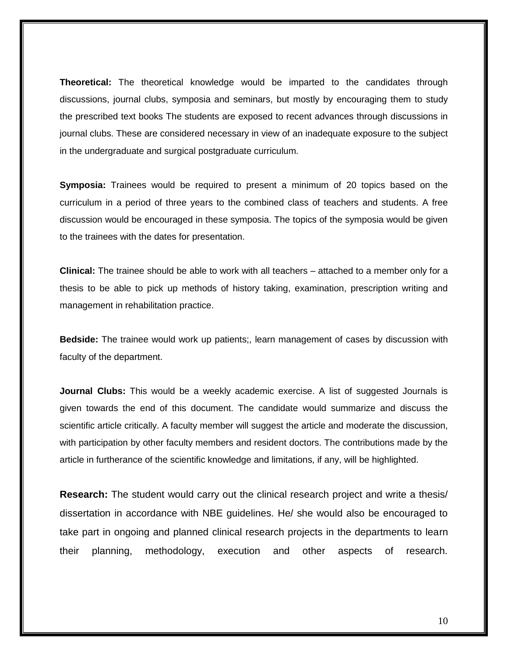**Theoretical:** The theoretical knowledge would be imparted to the candidates through discussions, journal clubs, symposia and seminars, but mostly by encouraging them to study the prescribed text books The students are exposed to recent advances through discussions in journal clubs. These are considered necessary in view of an inadequate exposure to the subject in the undergraduate and surgical postgraduate curriculum.

**Symposia:** Trainees would be required to present a minimum of 20 topics based on the curriculum in a period of three years to the combined class of teachers and students. A free discussion would be encouraged in these symposia. The topics of the symposia would be given to the trainees with the dates for presentation.

**Clinical:** The trainee should be able to work with all teachers – attached to a member only for a thesis to be able to pick up methods of history taking, examination, prescription writing and management in rehabilitation practice.

**Bedside:** The trainee would work up patients;, learn management of cases by discussion with faculty of the department.

**Journal Clubs:** This would be a weekly academic exercise. A list of suggested Journals is given towards the end of this document. The candidate would summarize and discuss the scientific article critically. A faculty member will suggest the article and moderate the discussion, with participation by other faculty members and resident doctors. The contributions made by the article in furtherance of the scientific knowledge and limitations, if any, will be highlighted.

**Research:** The student would carry out the clinical research project and write a thesis/ dissertation in accordance with NBE guidelines. He/ she would also be encouraged to take part in ongoing and planned clinical research projects in the departments to learn their planning, methodology, execution and other aspects of research.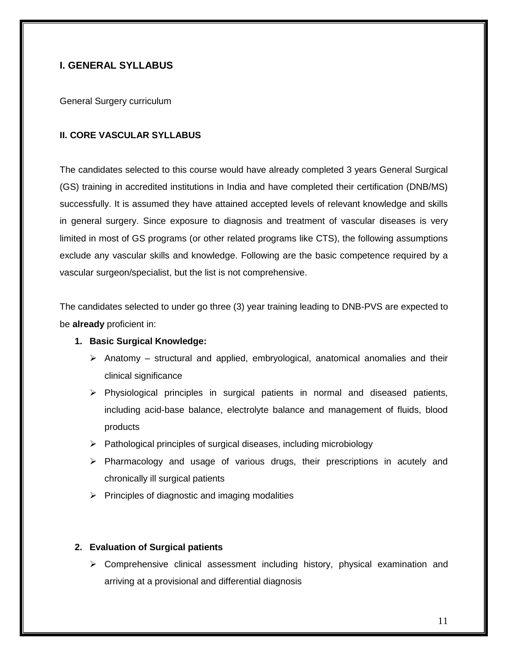# **I. GENERAL SYLLABUS**

General Surgery curriculum

#### **II. CORE VASCULAR SYLLABUS**

The candidates selected to this course would have already completed 3 years General Surgical (GS) training in accredited institutions in India and have completed their certification (DNB/MS) successfully. It is assumed they have attained accepted levels of relevant knowledge and skills in general surgery. Since exposure to diagnosis and treatment of vascular diseases is very limited in most of GS programs (or other related programs like CTS), the following assumptions exclude any vascular skills and knowledge. Following are the basic competence required by a vascular surgeon/specialist, but the list is not comprehensive.

The candidates selected to under go three (3) year training leading to DNB-PVS are expected to be **already** proficient in:

#### **1. Basic Surgical Knowledge:**

- $\triangleright$  Anatomy structural and applied, embryological, anatomical anomalies and their clinical significance
- ➢ Physiological principles in surgical patients in normal and diseased patients, including acid-base balance, electrolyte balance and management of fluids, blood products
- ➢ Pathological principles of surgical diseases, including microbiology
- $\triangleright$  Pharmacology and usage of various drugs, their prescriptions in acutely and chronically ill surgical patients
- $\triangleright$  Principles of diagnostic and imaging modalities

#### **2. Evaluation of Surgical patients**

➢ Comprehensive clinical assessment including history, physical examination and arriving at a provisional and differential diagnosis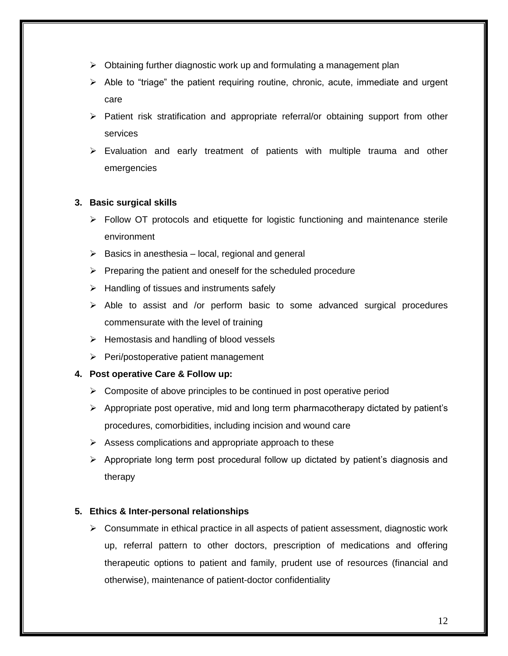- $\triangleright$  Obtaining further diagnostic work up and formulating a management plan
- $\triangleright$  Able to "triage" the patient requiring routine, chronic, acute, immediate and urgent care
- ➢ Patient risk stratification and appropriate referral/or obtaining support from other services
- $\triangleright$  Evaluation and early treatment of patients with multiple trauma and other emergencies

# **3. Basic surgical skills**

- $\triangleright$  Follow OT protocols and etiquette for logistic functioning and maintenance sterile environment
- $\triangleright$  Basics in anesthesia local, regional and general
- $\triangleright$  Preparing the patient and oneself for the scheduled procedure
- $\triangleright$  Handling of tissues and instruments safely
- ➢ Able to assist and /or perform basic to some advanced surgical procedures commensurate with the level of training
- ➢ Hemostasis and handling of blood vessels
- ➢ Peri/postoperative patient management

#### **4. Post operative Care & Follow up:**

- $\triangleright$  Composite of above principles to be continued in post operative period
- ➢ Appropriate post operative, mid and long term pharmacotherapy dictated by patient's procedures, comorbidities, including incision and wound care
- $\triangleright$  Assess complications and appropriate approach to these
- ➢ Appropriate long term post procedural follow up dictated by patient's diagnosis and therapy

# **5. Ethics & Inter-personal relationships**

➢ Consummate in ethical practice in all aspects of patient assessment, diagnostic work up, referral pattern to other doctors, prescription of medications and offering therapeutic options to patient and family, prudent use of resources (financial and otherwise), maintenance of patient-doctor confidentiality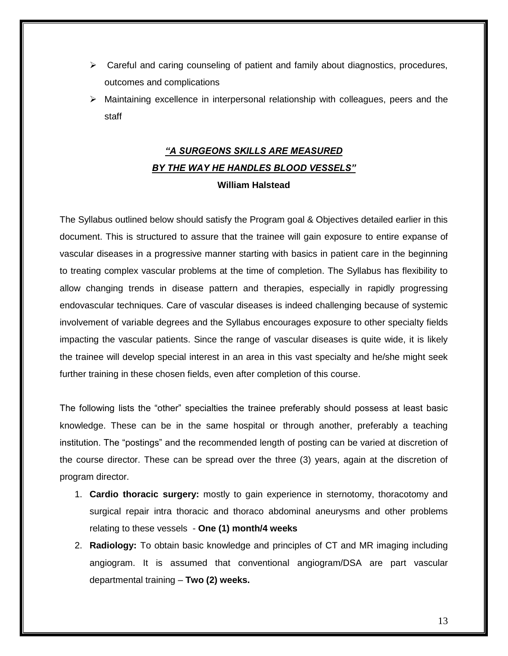- $\triangleright$  Careful and caring counseling of patient and family about diagnostics, procedures, outcomes and complications
- ➢ Maintaining excellence in interpersonal relationship with colleagues, peers and the staff

# *"A SURGEONS SKILLS ARE MEASURED BY THE WAY HE HANDLES BLOOD VESSELS"*  **William Halstead**

The Syllabus outlined below should satisfy the Program goal & Objectives detailed earlier in this document. This is structured to assure that the trainee will gain exposure to entire expanse of vascular diseases in a progressive manner starting with basics in patient care in the beginning to treating complex vascular problems at the time of completion. The Syllabus has flexibility to allow changing trends in disease pattern and therapies, especially in rapidly progressing endovascular techniques. Care of vascular diseases is indeed challenging because of systemic involvement of variable degrees and the Syllabus encourages exposure to other specialty fields impacting the vascular patients. Since the range of vascular diseases is quite wide, it is likely the trainee will develop special interest in an area in this vast specialty and he/she might seek further training in these chosen fields, even after completion of this course.

The following lists the "other" specialties the trainee preferably should possess at least basic knowledge. These can be in the same hospital or through another, preferably a teaching institution. The "postings" and the recommended length of posting can be varied at discretion of the course director. These can be spread over the three (3) years, again at the discretion of program director.

- 1. **Cardio thoracic surgery:** mostly to gain experience in sternotomy, thoracotomy and surgical repair intra thoracic and thoraco abdominal aneurysms and other problems relating to these vessels - **One (1) month/4 weeks**
- 2. **Radiology:** To obtain basic knowledge and principles of CT and MR imaging including angiogram. It is assumed that conventional angiogram/DSA are part vascular departmental training – **Two (2) weeks.**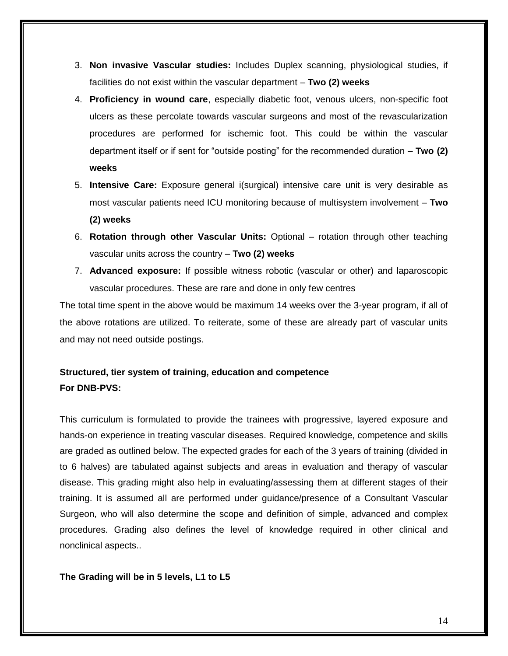- 3. **Non invasive Vascular studies:** Includes Duplex scanning, physiological studies, if facilities do not exist within the vascular department – **Two (2) weeks**
- 4. **Proficiency in wound care**, especially diabetic foot, venous ulcers, non-specific foot ulcers as these percolate towards vascular surgeons and most of the revascularization procedures are performed for ischemic foot. This could be within the vascular department itself or if sent for "outside posting" for the recommended duration – **Two (2) weeks**
- 5. **Intensive Care:** Exposure general i(surgical) intensive care unit is very desirable as most vascular patients need ICU monitoring because of multisystem involvement – **Two (2) weeks**
- 6. **Rotation through other Vascular Units:** Optional rotation through other teaching vascular units across the country – **Two (2) weeks**
- 7. **Advanced exposure:** If possible witness robotic (vascular or other) and laparoscopic vascular procedures. These are rare and done in only few centres

The total time spent in the above would be maximum 14 weeks over the 3-year program, if all of the above rotations are utilized. To reiterate, some of these are already part of vascular units and may not need outside postings.

# **Structured, tier system of training, education and competence For DNB-PVS:**

This curriculum is formulated to provide the trainees with progressive, layered exposure and hands-on experience in treating vascular diseases. Required knowledge, competence and skills are graded as outlined below. The expected grades for each of the 3 years of training (divided in to 6 halves) are tabulated against subjects and areas in evaluation and therapy of vascular disease. This grading might also help in evaluating/assessing them at different stages of their training. It is assumed all are performed under guidance/presence of a Consultant Vascular Surgeon, who will also determine the scope and definition of simple, advanced and complex procedures. Grading also defines the level of knowledge required in other clinical and nonclinical aspects..

# **The Grading will be in 5 levels, L1 to L5**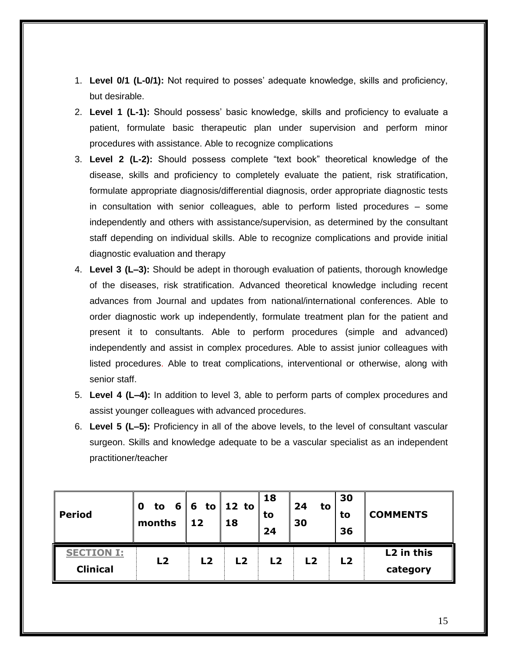- 1. **Level 0/1 (L-0/1):** Not required to posses' adequate knowledge, skills and proficiency, but desirable.
- 2. **Level 1 (L-1):** Should possess' basic knowledge, skills and proficiency to evaluate a patient, formulate basic therapeutic plan under supervision and perform minor procedures with assistance. Able to recognize complications
- 3. **Level 2 (L-2):** Should possess complete "text book" theoretical knowledge of the disease, skills and proficiency to completely evaluate the patient, risk stratification, formulate appropriate diagnosis/differential diagnosis, order appropriate diagnostic tests in consultation with senior colleagues, able to perform listed procedures – some independently and others with assistance/supervision, as determined by the consultant staff depending on individual skills. Able to recognize complications and provide initial diagnostic evaluation and therapy
- 4. **Level 3 (L–3):** Should be adept in thorough evaluation of patients, thorough knowledge of the diseases, risk stratification. Advanced theoretical knowledge including recent advances from Journal and updates from national/international conferences. Able to order diagnostic work up independently, formulate treatment plan for the patient and present it to consultants. Able to perform procedures (simple and advanced) independently and assist in complex procedures. Able to assist junior colleagues with listed procedures. Able to treat complications, interventional or otherwise, along with senior staff.
- 5. **Level 4 (L–4):** In addition to level 3, able to perform parts of complex procedures and assist younger colleagues with advanced procedures.
- 6. **Level 5 (L–5):** Proficiency in all of the above levels, to the level of consultant vascular surgeon. Skills and knowledge adequate to be a vascular specialist as an independent practitioner/teacher

| <b>Period</b>                        | 0<br>months | 12             | to $6 6 $ to 12 to<br>18 | <b>18</b><br>to<br>24 | 24<br>to<br>30 | 30<br>to<br>36 | <b>COMMENTS</b>        |
|--------------------------------------|-------------|----------------|--------------------------|-----------------------|----------------|----------------|------------------------|
| <b>SECTION I:</b><br><b>Clinical</b> | L2          | L <sub>2</sub> | L2                       | L2                    | L <sub>2</sub> | L <sub>2</sub> | L2 in this<br>category |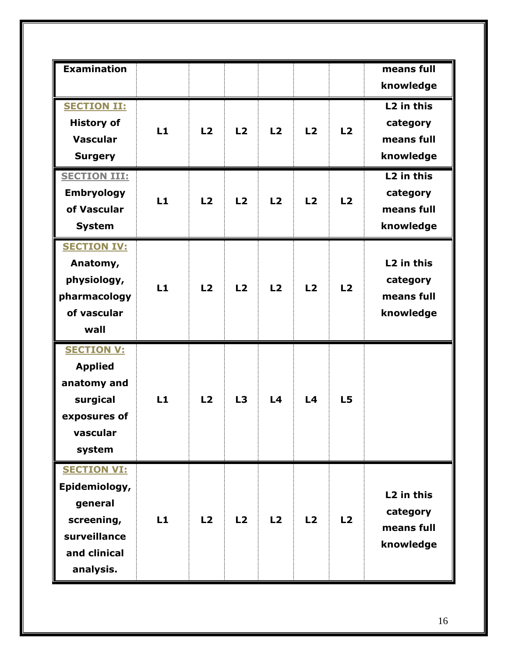| <b>Examination</b>  |    |                |                |                |    |    | means full             |
|---------------------|----|----------------|----------------|----------------|----|----|------------------------|
|                     |    |                |                |                |    |    |                        |
|                     |    |                |                |                |    |    | knowledge              |
| <b>SECTION II:</b>  |    |                |                |                |    |    | L <sub>2</sub> in this |
| <b>History of</b>   |    |                |                |                |    |    | category               |
| <b>Vascular</b>     | L1 | L2             | L2             | L <sub>2</sub> | L2 | L2 | means full             |
| <b>Surgery</b>      |    |                |                |                |    |    | knowledge              |
|                     |    |                |                |                |    |    |                        |
| <b>SECTION III:</b> |    |                |                |                |    |    | L <sub>2</sub> in this |
| <b>Embryology</b>   | L1 | L2             | L2             | L2             | L2 | L2 | category               |
| of Vascular         |    |                |                |                |    |    | means full             |
| <b>System</b>       |    |                |                |                |    |    | knowledge              |
| <b>SECTION IV:</b>  |    |                |                |                |    |    |                        |
| Anatomy,            |    |                |                |                |    |    | L <sub>2</sub> in this |
| physiology,         |    |                |                |                |    |    | category               |
| pharmacology        | L1 | L2             | L <sub>2</sub> | L2             | L2 | L2 | means full             |
| of vascular         |    |                |                |                |    |    |                        |
|                     |    |                |                |                |    |    | knowledge              |
| wall                |    |                |                |                |    |    |                        |
| <b>SECTION V:</b>   |    |                |                |                |    |    |                        |
| <b>Applied</b>      |    |                |                |                |    |    |                        |
| anatomy and         |    |                |                |                |    |    |                        |
| surgical            | L1 | L2             | L3             | L <sub>4</sub> | L4 | L5 |                        |
| exposures of        |    |                |                |                |    |    |                        |
| vascular            |    |                |                |                |    |    |                        |
| system              |    |                |                |                |    |    |                        |
|                     |    |                |                |                |    |    |                        |
| <b>SECTION VI:</b>  |    |                |                |                |    |    |                        |
| Epidemiology,       |    |                |                |                |    |    | L <sub>2</sub> in this |
| general             |    |                |                |                |    |    | category               |
| screening,          | L1 | L <sub>2</sub> | L <sub>2</sub> | L <sub>2</sub> | L2 | L2 | means full             |
| surveillance        |    |                |                |                |    |    |                        |
| and clinical        |    |                |                |                |    |    | knowledge              |
| analysis.           |    |                |                |                |    |    |                        |
|                     |    |                |                |                |    |    |                        |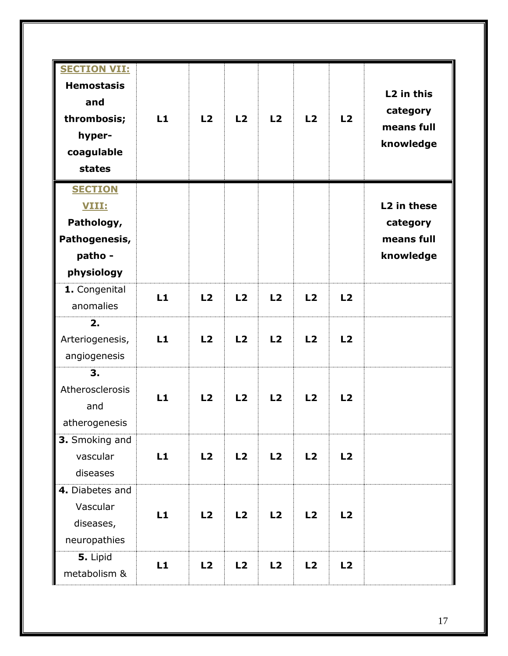| <b>SECTION VII:</b><br><b>Hemostasis</b><br>and<br>thrombosis;<br>hyper-<br>coagulable<br>states | L1 | L2 | L2             | L2 | L2 | L2 | L2 in this<br>category<br>means full<br>knowledge              |
|--------------------------------------------------------------------------------------------------|----|----|----------------|----|----|----|----------------------------------------------------------------|
| <b>SECTION</b><br>VIII:<br>Pathology,<br>Pathogenesis,<br>patho -<br>physiology                  |    |    |                |    |    |    | L <sub>2</sub> in these<br>category<br>means full<br>knowledge |
| 1. Congenital<br>anomalies                                                                       | L1 | L2 | L <sub>2</sub> | L2 | L2 | L2 |                                                                |
| 2.<br>Arteriogenesis,<br>angiogenesis                                                            | L1 | L2 | L <sub>2</sub> | L2 | L2 | L2 |                                                                |
| 3.<br>Atherosclerosis<br>and<br>atherogenesis                                                    | L1 | L2 | L2             | L2 | L2 | L2 |                                                                |
| 3. Smoking and<br>vascular<br>diseases                                                           | L1 | L2 | L2             | L2 | L2 | L2 |                                                                |
| 4. Diabetes and<br>Vascular<br>diseases,<br>neuropathies                                         | L1 | L2 | L2             | L2 | L2 | L2 |                                                                |
| 5. Lipid<br>metabolism &                                                                         | L1 | L2 | L2             | L2 | L2 | L2 |                                                                |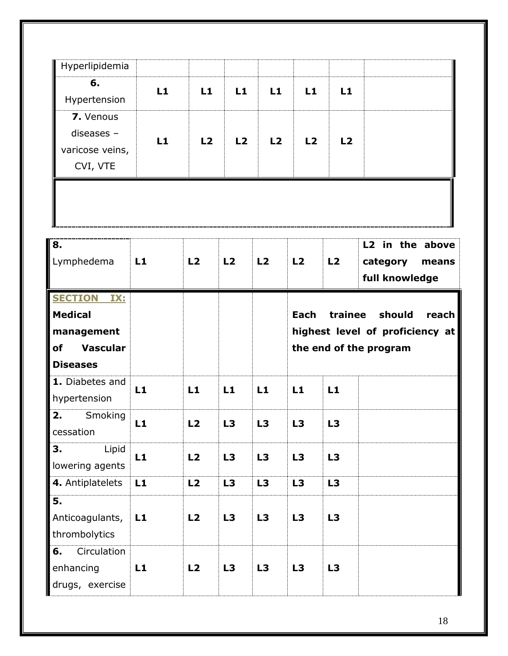| Hyperlipidemia               |    |    |                |                |      |    |                                                        |
|------------------------------|----|----|----------------|----------------|------|----|--------------------------------------------------------|
| 6.                           | L1 | L1 | L1             | L1             | L1   | L1 |                                                        |
| Hypertension                 |    |    |                |                |      |    |                                                        |
| 7. Venous                    |    |    |                |                |      |    |                                                        |
| diseases $-$                 | L1 | L2 | L <sub>2</sub> | L <sub>2</sub> | L2   | L2 |                                                        |
| varicose veins,              |    |    |                |                |      |    |                                                        |
| CVI, VTE                     |    |    |                |                |      |    |                                                        |
| 8.<br>Lymphedema             | L1 | L2 | L2             | L2             | L2   | L2 | L2 in the above<br>category<br>means<br>full knowledge |
| <b>SECTION</b><br>IX:        |    |    |                |                |      |    |                                                        |
| <b>Medical</b>               |    |    |                |                | Each |    | trainee should                                         |
| management                   |    |    |                |                |      |    |                                                        |
| <b>Vascular</b><br><b>of</b> |    |    |                |                |      |    | the end of the program                                 |
| <b>Diseases</b>              |    |    |                |                |      |    | reach<br>highest level of proficiency at               |

| <b>Diseases</b>                                   |    |    |    |    |    |    |  |
|---------------------------------------------------|----|----|----|----|----|----|--|
| 1. Diabetes and<br>hypertension                   | L1 | L1 | L1 | L1 | L1 | L1 |  |
| 2.<br>Smoking<br>cessation                        | L1 | L2 | L3 | L3 | L3 | L3 |  |
| 3.<br>Lipid<br>lowering agents                    | L1 | L2 | L3 | L3 | L3 | L3 |  |
| 4. Antiplatelets                                  | L1 | L2 | L3 | L3 | L3 | L3 |  |
| 5.<br>Anticoagulants,<br>thrombolytics            | L1 | L2 | L3 | L3 | L3 | L3 |  |
| Circulation<br>6.<br>enhancing<br>drugs, exercise | L1 | L2 | L3 | L3 | L3 | L3 |  |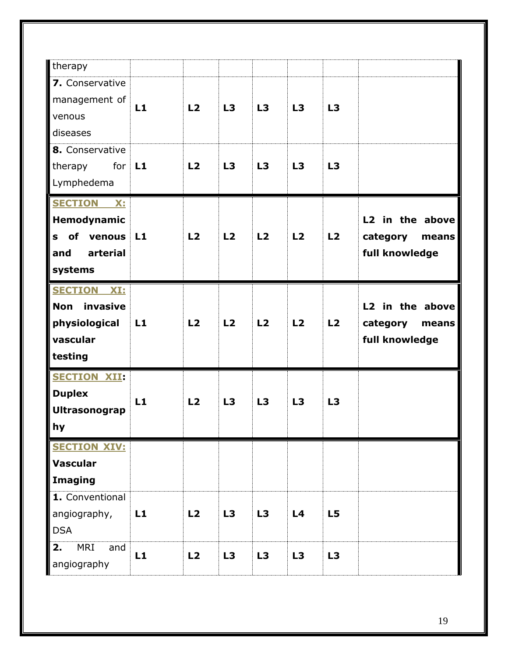| therapy                 |    |                |    |    |                |    |                   |
|-------------------------|----|----------------|----|----|----------------|----|-------------------|
|                         |    |                |    |    |                |    |                   |
| 7. Conservative         |    |                |    |    |                |    |                   |
| management of           | L1 | L <sub>2</sub> | L3 | L3 | L3             | L3 |                   |
| venous                  |    |                |    |    |                |    |                   |
| diseases                |    |                |    |    |                |    |                   |
| 8. Conservative         |    |                |    |    |                |    |                   |
| therapy<br>for L1       |    | L <sub>2</sub> | L3 | L3 | L3             | L3 |                   |
| Lymphedema              |    |                |    |    |                |    |                   |
| <b>SECTION X:</b>       |    |                |    |    |                |    |                   |
| Hemodynamic             |    |                |    |    |                |    | L2 in the above   |
| of venous<br>S          | L1 | L <sub>2</sub> | L2 | L2 | L <sub>2</sub> | L2 | category<br>means |
| arterial<br>and         |    |                |    |    |                |    | full knowledge    |
| systems                 |    |                |    |    |                |    |                   |
| <b>SECTION XI:</b>      |    |                |    |    |                |    |                   |
| invasive<br><b>Non</b>  |    |                |    |    |                |    | L2 in the above   |
| physiological           | L1 | L <sub>2</sub> | L2 | L2 | L <sub>2</sub> | L2 | category<br>means |
| vascular                |    |                |    |    |                |    | full knowledge    |
| testing                 |    |                |    |    |                |    |                   |
| <b>SECTION XII:</b>     |    |                |    |    |                |    |                   |
| <b>Duplex</b>           |    |                |    |    |                |    |                   |
| Ultrasonograp           | L1 | L <sub>2</sub> | L3 | L3 | L3             | L3 |                   |
| hy                      |    |                |    |    |                |    |                   |
| <b>SECTION XIV:</b>     |    |                |    |    |                |    |                   |
| <b>Vascular</b>         |    |                |    |    |                |    |                   |
| <b>Imaging</b>          |    |                |    |    |                |    |                   |
| 1. Conventional         |    |                |    |    |                |    |                   |
| angiography,            | L1 | L2             | L3 | L3 | L <sub>4</sub> | L5 |                   |
| <b>DSA</b>              |    |                |    |    |                |    |                   |
| <b>MRI</b><br>2.<br>and | L1 | L2             | L3 | L3 | L3             | L3 |                   |
| angiography             |    |                |    |    |                |    |                   |
|                         |    |                |    |    |                |    |                   |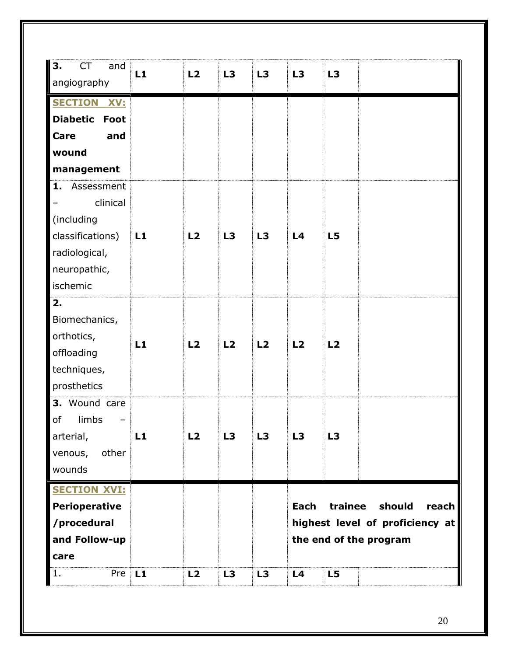| ΙЗ.<br><b>CT</b><br>and<br>angiography                                                                      | L1 | L2             | L3             | L3 | L3         | L3             |                                                                              |
|-------------------------------------------------------------------------------------------------------------|----|----------------|----------------|----|------------|----------------|------------------------------------------------------------------------------|
| <b>SECTION XV:</b><br><b>Diabetic Foot</b><br>Care<br>and<br>wound<br>management                            |    |                |                |    |            |                |                                                                              |
| Assessment<br>1.<br>clinical<br>(including<br>classifications)<br>radiological,<br>neuropathic,<br>ischemic | L1 | L <sub>2</sub> | L3             | L3 | L4         | L <sub>5</sub> |                                                                              |
| 2.<br>Biomechanics,<br>orthotics,<br>offloading<br>techniques,<br>prosthetics                               | L1 | L2             | L <sub>2</sub> | L2 | L2         | L2             |                                                                              |
| 3. Wound care<br>of<br>limbs<br>arterial,<br>other<br>venous,<br>wounds                                     | L1 | L2             | L3             | L3 | L3         | L3             |                                                                              |
| <b>SECTION XVI:</b><br><b>Perioperative</b><br>/procedural<br>and Follow-up<br>care<br>Pre<br>1.            | L1 | L2             | L3             | L3 | Each<br>L4 | trainee<br>L5  | should<br>reach<br>highest level of proficiency at<br>the end of the program |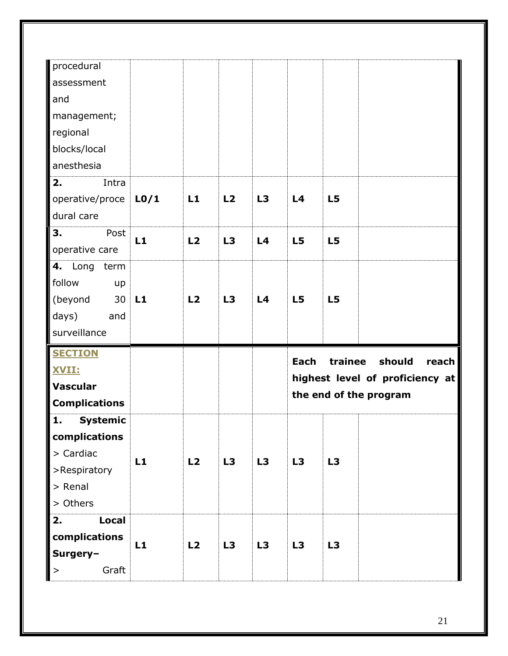| procedural                 |                   |                |                |                |                |                |                                 |
|----------------------------|-------------------|----------------|----------------|----------------|----------------|----------------|---------------------------------|
| assessment                 |                   |                |                |                |                |                |                                 |
| and                        |                   |                |                |                |                |                |                                 |
| management;                |                   |                |                |                |                |                |                                 |
| regional                   |                   |                |                |                |                |                |                                 |
| blocks/local               |                   |                |                |                |                |                |                                 |
| anesthesia                 |                   |                |                |                |                |                |                                 |
| Intra<br>2.                |                   |                |                |                |                |                |                                 |
| operative/proce            | L <sub>0</sub> /1 | L1             | L <sub>2</sub> | L3             | L <sub>4</sub> | L5             |                                 |
| dural care                 |                   |                |                |                |                |                |                                 |
| Post<br>3.                 |                   |                |                |                |                |                |                                 |
| operative care             | L1                | L2             | L3             | L <sub>4</sub> | L5             | L <sub>5</sub> |                                 |
| Long<br>4.<br>term         |                   |                |                |                |                |                |                                 |
| follow<br>up               |                   |                |                |                |                |                |                                 |
| (beyond<br>30              | L1                | L <sub>2</sub> | L3             | L4             | L <sub>5</sub> | L <sub>5</sub> |                                 |
|                            |                   |                |                |                |                |                |                                 |
| days)<br>and               |                   |                |                |                |                |                |                                 |
| surveillance               |                   |                |                |                |                |                |                                 |
|                            |                   |                |                |                |                |                |                                 |
| <b>SECTION</b>             |                   |                |                |                | <b>Each</b>    | trainee        | should<br>reach                 |
| <b>XVII:</b>               |                   |                |                |                |                |                | highest level of proficiency at |
| <b>Vascular</b>            |                   |                |                |                |                |                | the end of the program          |
| <b>Complications</b>       |                   |                |                |                |                |                |                                 |
| 1.<br><b>Systemic</b>      |                   |                |                |                |                |                |                                 |
| complications              |                   |                |                |                |                |                |                                 |
| > Cardiac                  | L1                | L2             | L3             | L3             | L3             | L3             |                                 |
| >Respiratory               |                   |                |                |                |                |                |                                 |
| > Renal                    |                   |                |                |                |                |                |                                 |
| > Others<br>2.             |                   |                |                |                |                |                |                                 |
| <b>Local</b>               |                   |                |                |                |                |                |                                 |
| complications              | L1                | L2             | L3             | L3             | L3             | L3             |                                 |
| Surgery-<br>Graft<br>$\,>$ |                   |                |                |                |                |                |                                 |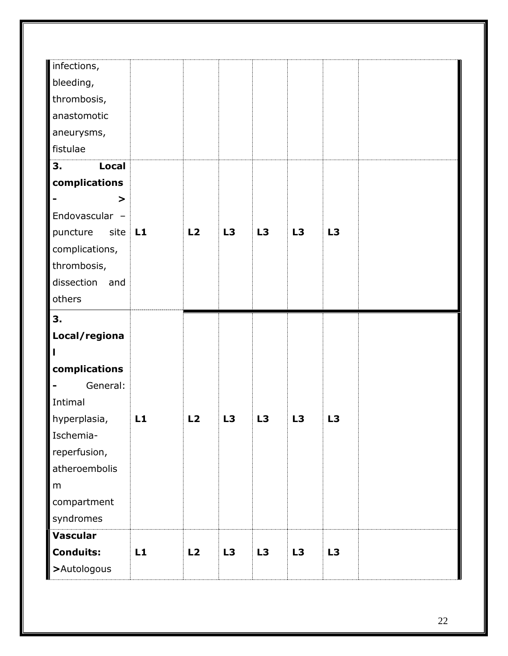| infections,                     |    |    |                |    |                |                |  |
|---------------------------------|----|----|----------------|----|----------------|----------------|--|
| bleeding,                       |    |    |                |    |                |                |  |
| thrombosis,                     |    |    |                |    |                |                |  |
| anastomotic                     |    |    |                |    |                |                |  |
| aneurysms,                      |    |    |                |    |                |                |  |
| fistulae                        |    |    |                |    |                |                |  |
| 3.<br><b>Local</b>              |    |    |                |    |                |                |  |
| complications                   |    |    |                |    |                |                |  |
| >                               |    |    |                |    |                |                |  |
| Endovascular -                  |    |    |                |    |                |                |  |
| puncture<br>site                | L1 | L2 | L3             | L3 | L3             | L3             |  |
| complications,                  |    |    |                |    |                |                |  |
| thrombosis,                     |    |    |                |    |                |                |  |
| dissection and                  |    |    |                |    |                |                |  |
| others                          |    |    |                |    |                |                |  |
| 3.                              |    |    |                |    |                |                |  |
| Local/regiona                   |    |    |                |    |                |                |  |
|                                 |    |    |                |    |                |                |  |
| complications                   |    |    |                |    |                |                |  |
| General:                        |    |    |                |    |                |                |  |
| Intimal                         |    |    |                |    |                |                |  |
|                                 |    |    |                |    |                |                |  |
| hyperplasia,                    | L1 | L2 | L <sub>3</sub> | L3 | L <sub>3</sub> | L <sub>3</sub> |  |
| Ischemia-                       |    |    |                |    |                |                |  |
| reperfusion,                    |    |    |                |    |                |                |  |
| atheroembolis                   |    |    |                |    |                |                |  |
| m                               |    |    |                |    |                |                |  |
| compartment                     |    |    |                |    |                |                |  |
| syndromes                       |    |    |                |    |                |                |  |
| Vascular                        |    |    |                |    |                |                |  |
| <b>Conduits:</b><br>>Autologous | L1 | L2 | L3             | L3 | L3             | L3             |  |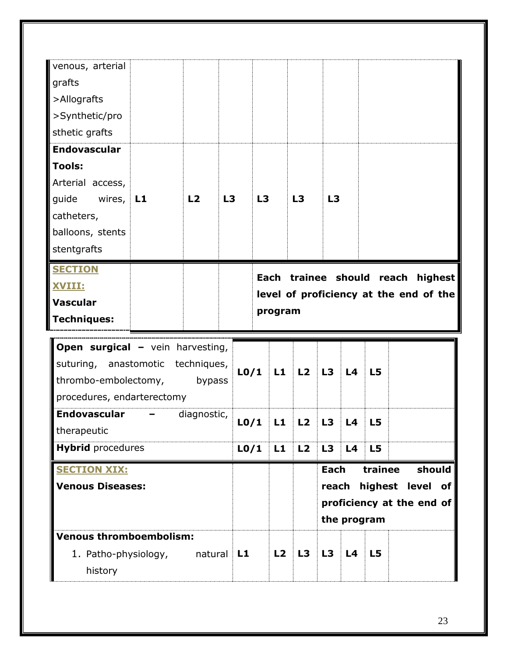| <b>Venous thromboembolism:</b><br>1. Patho-physiology,<br>history                       |   | natural     | L1 |                   | L2      | L3 | L3                   | L4          | L5             |                      |                                                         |
|-----------------------------------------------------------------------------------------|---|-------------|----|-------------------|---------|----|----------------------|-------------|----------------|----------------------|---------------------------------------------------------|
| <b>SECTION XIX:</b><br><b>Venous Diseases:</b>                                          |   |             |    |                   |         |    | <b>Each</b><br>reach | the program | trainee        |                      | should<br>highest level of<br>proficiency at the end of |
| <b>Hybrid</b> procedures                                                                |   |             |    | L <sub>0</sub> /1 | L1      | L2 | L3                   | L4          | L5             |                      |                                                         |
| <b>Endovascular</b><br>therapeutic                                                      | - | diagnostic, |    | L <sub>0</sub> /1 | L1      | L2 | L3                   | L4          | L <sub>5</sub> |                      |                                                         |
| suturing, anastomotic techniques,<br>thrombo-embolectomy,<br>procedures, endarterectomy |   | bypass      |    | L <sub>0</sub> /1 | L1      | L2 | L3                   | L4          | L <sub>5</sub> |                      |                                                         |
| <b>Open surgical - vein harvesting,</b>                                                 |   |             |    |                   |         |    |                      |             |                |                      |                                                         |
| <b>Techniques:</b>                                                                      |   |             |    |                   | program |    |                      |             |                |                      |                                                         |
| <b>XVIII:</b><br><b>Vascular</b>                                                        |   |             |    |                   |         |    |                      |             |                |                      | level of proficiency at the end of the                  |
| <b>SECTION</b>                                                                          |   |             |    |                   | Each    |    |                      |             |                | trainee should reach | highest                                                 |
| stentgrafts                                                                             |   |             |    |                   |         |    |                      |             |                |                      |                                                         |
| balloons, stents                                                                        |   |             |    |                   |         |    |                      |             |                |                      |                                                         |
| guide<br>wires, $L1$<br>catheters,                                                      |   | L2          | L3 | L3                |         | L3 | L3                   |             |                |                      |                                                         |
| Arterial access,                                                                        |   |             |    |                   |         |    |                      |             |                |                      |                                                         |
| <b>Tools:</b>                                                                           |   |             |    |                   |         |    |                      |             |                |                      |                                                         |
| <b>Endovascular</b>                                                                     |   |             |    |                   |         |    |                      |             |                |                      |                                                         |
| sthetic grafts                                                                          |   |             |    |                   |         |    |                      |             |                |                      |                                                         |
| >Synthetic/pro                                                                          |   |             |    |                   |         |    |                      |             |                |                      |                                                         |
| grafts<br>>Allografts                                                                   |   |             |    |                   |         |    |                      |             |                |                      |                                                         |
| venous, arterial                                                                        |   |             |    |                   |         |    |                      |             |                |                      |                                                         |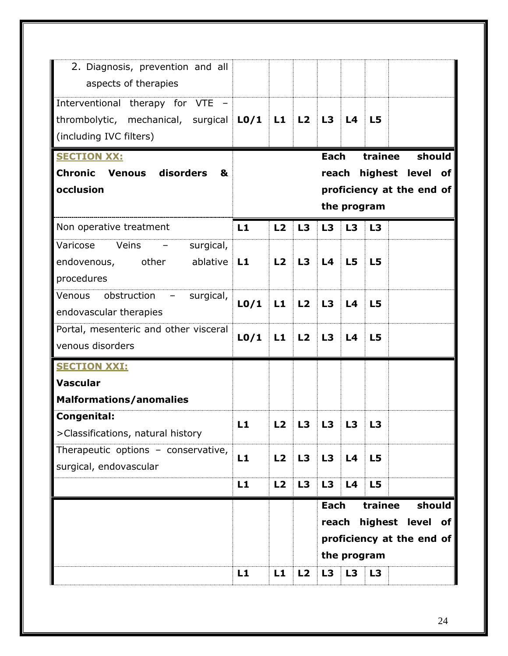| 2. Diagnosis, prevention and all<br>aspects of therapies                                               |                   |    |    |                                 |                   |                |                                                         |
|--------------------------------------------------------------------------------------------------------|-------------------|----|----|---------------------------------|-------------------|----------------|---------------------------------------------------------|
| Interventional therapy for VTE<br>thrombolytic, mechanical, surgical $LO/I$<br>(including IVC filters) |                   | L1 | L2 | L3                              | L4                | L <sub>5</sub> |                                                         |
| <b>SECTION XX:</b>                                                                                     |                   |    |    | Each                            |                   | trainee        | should                                                  |
| <b>Chronic Venous</b><br>disorders<br>&<br>occlusion                                                   |                   |    |    | reach                           |                   |                | highest level of                                        |
|                                                                                                        |                   |    |    |                                 | the program       |                | proficiency at the end of                               |
| Non operative treatment                                                                                | L1                | L2 | L3 | L3                              | L <sub>3</sub>    | L3             |                                                         |
| Varicose<br>Veins<br>surgical,<br>endovenous, other<br>ablative<br>procedures                          | L1                | L2 | L3 | L <sub>4</sub>                  | L <sub>5</sub>    | L5             |                                                         |
| obstruction –<br><b>Venous</b><br>surgical,<br>endovascular therapies                                  | L <sub>0</sub> /1 | L1 | L2 | L3                              | L <sub>4</sub>    | L <sub>5</sub> |                                                         |
| Portal, mesenteric and other visceral<br>venous disorders                                              | L <sub>0</sub> /1 | L1 | L2 | L3                              | L <sub>4</sub>    | L <sub>5</sub> |                                                         |
| <b>SECTION XXI:</b>                                                                                    |                   |    |    |                                 |                   |                |                                                         |
| <b>Vascular</b>                                                                                        |                   |    |    |                                 |                   |                |                                                         |
| <b>Malformations/anomalies</b>                                                                         |                   |    |    |                                 |                   |                |                                                         |
| Congenital:<br>>Classifications, natural history                                                       | L1                | L2 | L3 | L3                              |                   | l 3            |                                                         |
| Therapeutic options - conservative,<br>surgical, endovascular                                          | L1                | L2 | L3 | L3                              | L4                | L5             |                                                         |
|                                                                                                        | L1                | L2 | L3 | L3                              | L4                | L5             |                                                         |
|                                                                                                        | L1                | L1 | L2 | Each<br>reach<br>L <sub>3</sub> | the program<br>L3 | trainee<br>L3  | should<br>highest level of<br>proficiency at the end of |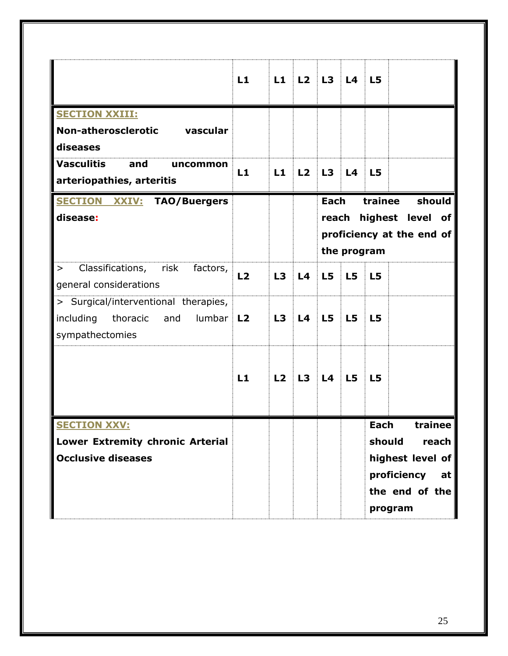|                                               | L1             | L1 | L2             | L3             | L4             | L <sub>5</sub> |                           |
|-----------------------------------------------|----------------|----|----------------|----------------|----------------|----------------|---------------------------|
| <b>SECTION XXIII:</b>                         |                |    |                |                |                |                |                           |
| Non-atherosclerotic vascular                  |                |    |                |                |                |                |                           |
| diseases                                      |                |    |                |                |                |                |                           |
| <b>Vasculitis</b><br>and<br>uncommon          | L1             | L1 | L <sub>2</sub> | L3             | L <sub>4</sub> | L <sub>5</sub> |                           |
| arteriopathies, arteritis                     |                |    |                |                |                |                |                           |
| <b>SECTION XXIV: TAO/Buergers</b>             |                |    |                | <b>Each</b>    |                | trainee        | should                    |
| disease:                                      |                |    |                | reach          |                |                | highest level of          |
|                                               |                |    |                |                |                |                | proficiency at the end of |
|                                               |                |    |                |                | the program    |                |                           |
| Classifications,<br>risk<br>factors,<br>$\,>$ | L <sub>2</sub> | L3 | L <sub>4</sub> | L <sub>5</sub> | L <sub>5</sub> | L5             |                           |
| general considerations                        |                |    |                |                |                |                |                           |
| > Surgical/interventional therapies,          |                |    |                |                |                |                |                           |
| including<br>thoracic<br>lumbar<br>and        | L <sub>2</sub> | L3 | L4             | L5             | L <sub>5</sub> | L <sub>5</sub> |                           |
| sympathectomies                               |                |    |                |                |                |                |                           |
|                                               |                |    |                |                |                |                |                           |
|                                               | L1             | L2 | L3             | L <sub>4</sub> | L <sub>5</sub> | L <sub>5</sub> |                           |
|                                               |                |    |                |                |                |                |                           |
|                                               |                |    |                |                |                |                |                           |
| <b>SECTION XXV:</b>                           |                |    |                |                |                | <b>Each</b>    | trainee                   |
| Lower Extremity chronic Arterial              |                |    |                |                |                | should         | reach                     |
| <b>Occlusive diseases</b>                     |                |    |                |                |                |                | highest level of          |
|                                               |                |    |                |                |                |                | proficiency<br>at         |
|                                               |                |    |                |                |                |                | the end of the            |
|                                               |                |    |                |                |                |                | program                   |
|                                               |                |    |                |                |                |                |                           |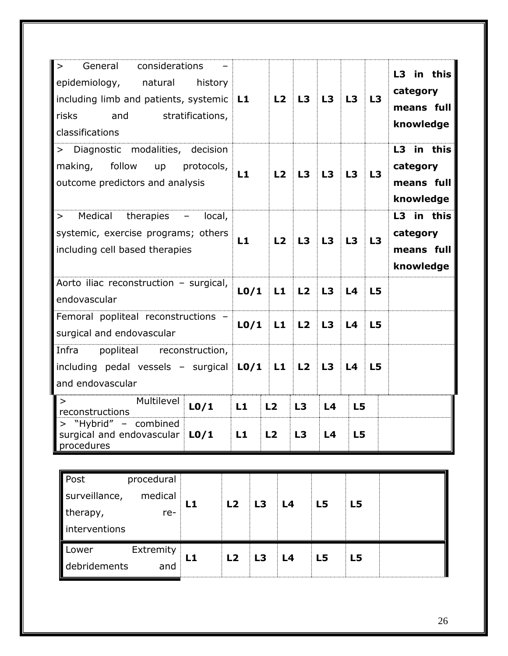| considerations<br>General<br>$\geq$<br>epidemiology,<br>natural<br>history<br>including limb and patients, systemic<br>risks<br>and<br>stratifications,<br>classifications | L1                | L2             | L3             | L3             | L3             | L3 | L3 in this<br>category<br>means full<br>knowledge |
|----------------------------------------------------------------------------------------------------------------------------------------------------------------------------|-------------------|----------------|----------------|----------------|----------------|----|---------------------------------------------------|
| > Diagnostic modalities, decision<br>follow<br>making,<br>protocols,<br>up<br>outcome predictors and analysis                                                              | L1                | L2             | L3             | L3             | L3             | L3 | L3 in this<br>category<br>means full<br>knowledge |
| Medical therapies<br>local,<br>$\qquad \qquad -$<br>$\geq$<br>systemic, exercise programs; others<br>including cell based therapies                                        | L1                | L2             | L3             | L3             | L3             | L3 | L3 in this<br>category<br>means full<br>knowledge |
| Aorto iliac reconstruction - surgical,<br>endovascular                                                                                                                     | L <sub>0</sub> /1 | L1             | L <sub>2</sub> | L3             | L <sub>4</sub> | L5 |                                                   |
| Femoral popliteal reconstructions -<br>surgical and endovascular                                                                                                           | L <sub>0</sub> /1 | L1             | L2             | L3             | L <sub>4</sub> | L5 |                                                   |
| Infra<br>popliteal<br>reconstruction,<br>including pedal vessels - surgical<br>and endovascular                                                                            | L <sub>0</sub> /1 | L1             | L <sub>2</sub> | L3             | L <sub>4</sub> | L5 |                                                   |
| Multilevel<br>$\geq$<br>L <sub>0</sub> /1<br>reconstructions                                                                                                               | L1                | L2             | L3             | L <sub>4</sub> | L5             |    |                                                   |
| "Hybrid" - combined<br>$\geq$<br>surgical and endovascular<br>L <sub>0</sub> /1<br>procedures                                                                              | L1                | L <sub>2</sub> | L3             | L4             | L5             |    |                                                   |

| Post          | procedural |    |                |    |                |    |    |  |
|---------------|------------|----|----------------|----|----------------|----|----|--|
| surveillance, | medical    | L1 | L <sub>2</sub> | L3 | L <sub>4</sub> | L5 | L5 |  |
| therapy,      | re-        |    |                |    |                |    |    |  |
| interventions |            |    |                |    |                |    |    |  |
| Lower         | Extremity  | L1 | L <sub>2</sub> | L3 | L <sub>4</sub> | L5 | L5 |  |
| debridements  | and        |    |                |    |                |    |    |  |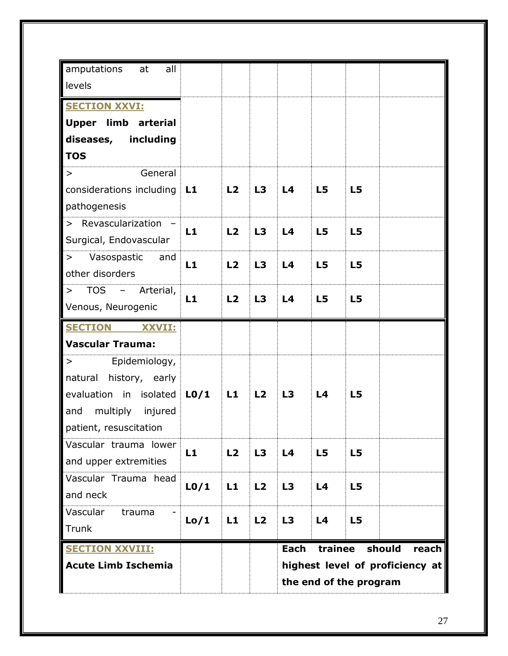| L1                                                 | L <sub>2</sub>                                    | L3                                           | L4                                                       | L5                                           | L5                                                       |                                                                                |
|----------------------------------------------------|---------------------------------------------------|----------------------------------------------|----------------------------------------------------------|----------------------------------------------|----------------------------------------------------------|--------------------------------------------------------------------------------|
|                                                    |                                                   |                                              |                                                          |                                              |                                                          |                                                                                |
|                                                    |                                                   |                                              |                                                          |                                              |                                                          |                                                                                |
|                                                    |                                                   |                                              |                                                          |                                              |                                                          |                                                                                |
|                                                    |                                                   |                                              |                                                          |                                              |                                                          |                                                                                |
|                                                    |                                                   |                                              |                                                          |                                              |                                                          |                                                                                |
|                                                    |                                                   |                                              |                                                          |                                              |                                                          |                                                                                |
|                                                    |                                                   |                                              |                                                          |                                              |                                                          |                                                                                |
|                                                    |                                                   |                                              |                                                          |                                              |                                                          |                                                                                |
|                                                    |                                                   |                                              |                                                          |                                              |                                                          |                                                                                |
|                                                    |                                                   |                                              |                                                          |                                              |                                                          |                                                                                |
|                                                    |                                                   |                                              |                                                          |                                              |                                                          |                                                                                |
| L <sub>0</sub> /1                                  | L1                                                | L <sub>2</sub>                               | L3                                                       | L <sub>4</sub>                               | L <sub>5</sub>                                           |                                                                                |
|                                                    |                                                   |                                              |                                                          |                                              |                                                          |                                                                                |
|                                                    |                                                   |                                              |                                                          |                                              |                                                          |                                                                                |
|                                                    |                                                   |                                              |                                                          |                                              |                                                          |                                                                                |
|                                                    |                                                   |                                              |                                                          |                                              |                                                          |                                                                                |
|                                                    |                                                   |                                              |                                                          |                                              |                                                          |                                                                                |
|                                                    |                                                   |                                              |                                                          |                                              |                                                          |                                                                                |
|                                                    |                                                   |                                              |                                                          |                                              |                                                          |                                                                                |
|                                                    |                                                   |                                              |                                                          |                                              |                                                          |                                                                                |
|                                                    |                                                   |                                              | Each                                                     |                                              | should                                                   | reach                                                                          |
|                                                    |                                                   |                                              |                                                          |                                              |                                                          |                                                                                |
|                                                    |                                                   | the end of the program                       |                                                          |                                              |                                                          |                                                                                |
| considerations including<br>evaluation in isolated | L1<br>L1<br>L1<br>L1<br>L <sub>0</sub> /1<br>Lo/1 | L2<br>L2<br>L <sub>2</sub><br>L2<br>L1<br>L1 | L3<br>L3<br>L <sub>3</sub><br>L3<br>L <sub>2</sub><br>L2 | L4<br>L4<br>L4<br>L4<br>L3<br>L <sub>3</sub> | L5<br>L5<br>L <sub>5</sub><br>L5<br>L <sub>4</sub><br>L4 | L5<br>L5<br>L5<br>L5<br>L5<br>L5<br>trainee<br>highest level of proficiency at |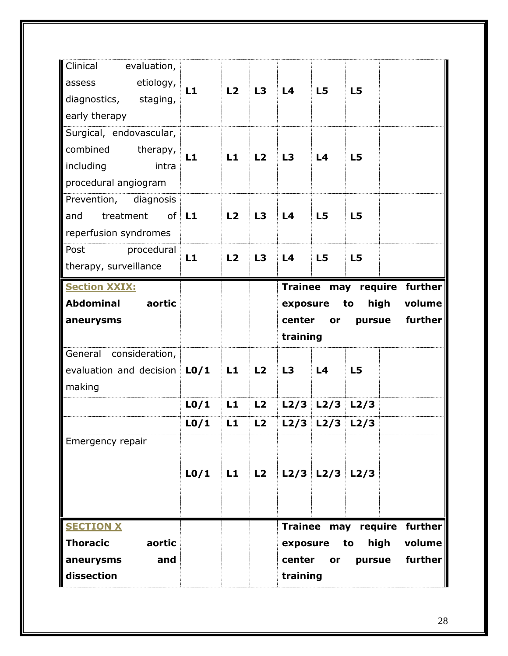| L1                                                                                                     | L2             | L3                         | L4             | L <sub>5</sub>             | L5                                     |                            |                             |
|--------------------------------------------------------------------------------------------------------|----------------|----------------------------|----------------|----------------------------|----------------------------------------|----------------------------|-----------------------------|
|                                                                                                        |                |                            |                |                            |                                        |                            |                             |
|                                                                                                        |                |                            |                |                            |                                        |                            |                             |
|                                                                                                        |                |                            |                |                            |                                        |                            |                             |
|                                                                                                        |                |                            |                |                            |                                        |                            |                             |
|                                                                                                        |                |                            |                |                            |                                        |                            |                             |
|                                                                                                        |                |                            | exposure       |                            | to                                     | high                       | volume                      |
|                                                                                                        |                |                            | center         | or                         | pursue                                 |                            | further                     |
|                                                                                                        |                |                            | training       |                            |                                        |                            |                             |
|                                                                                                        |                |                            |                |                            |                                        |                            |                             |
| evaluation and decision<br>L <sub>0</sub> /1                                                           | L1             | L2                         | L3             | L <sub>4</sub>             | L <sub>5</sub>                         |                            |                             |
|                                                                                                        |                |                            |                |                            |                                        |                            |                             |
| L <sub>0</sub> /1                                                                                      | L1             | L2                         | L2/3           | L2/3                       | L2/3                                   |                            |                             |
| L <sub>0</sub> /1                                                                                      | L1             | L2                         | L2/3           | L2/3                       | L2/3                                   |                            |                             |
|                                                                                                        |                |                            |                |                            |                                        |                            |                             |
|                                                                                                        |                |                            |                |                            |                                        |                            |                             |
| L <sub>0</sub> /1                                                                                      | L1             | L2                         |                | $L2/3$ $L2/3$ $L2/3$       |                                        |                            |                             |
|                                                                                                        |                |                            |                |                            |                                        |                            |                             |
|                                                                                                        |                |                            |                |                            |                                        |                            |                             |
|                                                                                                        |                |                            |                |                            |                                        |                            | Trainee may require further |
|                                                                                                        |                |                            | exposure       |                            | to                                     | high                       | volume                      |
|                                                                                                        |                |                            | center         | or                         | pursue                                 |                            | further                     |
| evaluation,<br>etiology,<br>Surgical, endovascular,<br>therapy,<br>Prevention, diagnosis<br>procedural | L1<br>L1<br>L1 | L2<br>L1<br>L <sub>2</sub> | L3<br>L2<br>L3 | L <sub>4</sub><br>L3<br>L4 | L5<br>L <sub>4</sub><br>L <sub>5</sub> | L5<br>L5<br>L <sub>5</sub> | Trainee may require further |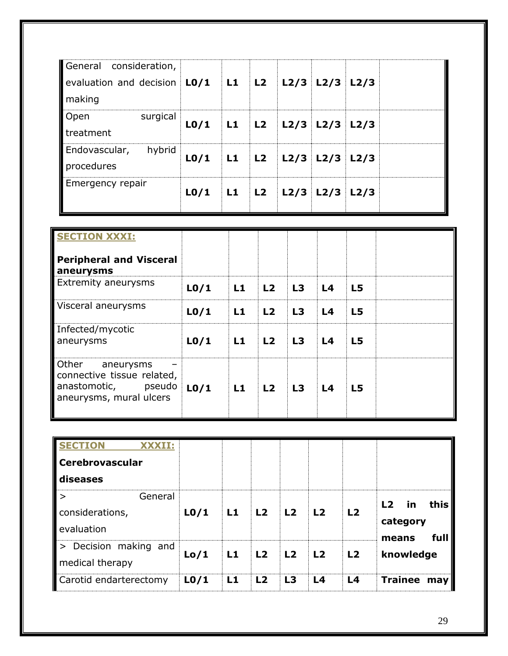| General consideration,<br>evaluation and decision $\vert$ L0/1 $\vert$ L1 $\vert$ L2 $\vert$ L2/3 L2/3 L2/3<br>making |          |                                       |       |                              |  |  |
|-----------------------------------------------------------------------------------------------------------------------|----------|---------------------------------------|-------|------------------------------|--|--|
| Open<br>treatment                                                                                                     | surgical | $L0/1$   L1   L2   L2/3   L2/3   L2/3 |       |                              |  |  |
| Endovascular,<br>procedures                                                                                           | hybrid   | L <sub>0</sub> /1                     |       | L1   L2   L2/3   L2/3   L2/3 |  |  |
| Emergency repair                                                                                                      |          | L <sub>0</sub> /1                     | L1 L2 | L2/3 L2/3 L2/3               |  |  |

| <b>SECTION XXXI:</b>                                                                                         |                   |           |    |    |                |                 |  |
|--------------------------------------------------------------------------------------------------------------|-------------------|-----------|----|----|----------------|-----------------|--|
| <b>Peripheral and Visceral</b><br>aneurysms                                                                  |                   |           |    |    |                |                 |  |
| <b>Extremity aneurysms</b>                                                                                   | L <sub>0</sub> /1 | L1        | L2 | L3 | L <sub>4</sub> | $\overline{L5}$ |  |
| Visceral aneurysms                                                                                           | L <sub>0</sub> /1 | <b>L1</b> | L2 | L3 | L <sub>4</sub> | <b>L5</b>       |  |
| Infected/mycotic<br>aneurysms                                                                                | L <sub>0</sub> /1 | L1        | L2 | L3 | L <sub>4</sub> | $\overline{L}$  |  |
| <b>Other</b><br>aneurysms<br>connective tissue related,<br>anastomotic,<br>pseudo<br>aneurysms, mural ulcers | L <sub>0</sub> /1 | L1        | L2 | L3 | L <sub>4</sub> | $\overline{L}$  |  |

| <b>SECTION</b><br>XXXII:<br><b>Cerebrovascular</b><br>diseases |                   |    |                |                |                |                |                                                         |
|----------------------------------------------------------------|-------------------|----|----------------|----------------|----------------|----------------|---------------------------------------------------------|
| General<br>$\geq$<br>considerations,<br>evaluation             | L <sub>0</sub> /1 | L1 | L2             | L2             | L2             | L2             | this<br>L <sub>2</sub><br><u>in</u><br>category<br>full |
| Decision making and<br>$\vert$ ><br>medical therapy            | Lo/1              | L1 | L2             | <b>L2</b>      | L2             | L <sub>2</sub> | means<br>knowledge                                      |
| Carotid endarterectomy                                         | L <sub>0</sub> /1 | L1 | L <sub>2</sub> | L <sub>3</sub> | L <sub>4</sub> | L <sub>4</sub> | <b>Trainee</b><br>may                                   |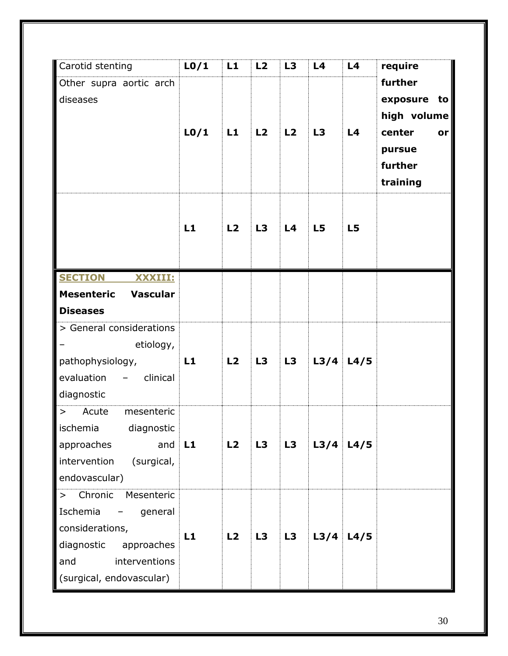| Carotid stenting                                   | L <sub>0</sub> /1 | L1 | L2 | L3 | L <sub>4</sub> | L4             | require      |
|----------------------------------------------------|-------------------|----|----|----|----------------|----------------|--------------|
| Other supra aortic arch                            |                   |    |    |    |                |                | further      |
| diseases                                           |                   |    |    |    |                |                | exposure to  |
|                                                    |                   |    |    |    |                |                | high volume  |
|                                                    | L <sub>0</sub> /1 | L1 | L2 | L2 | L3             | L4             | center<br>or |
|                                                    |                   |    |    |    |                |                | pursue       |
|                                                    |                   |    |    |    |                |                | further      |
|                                                    |                   |    |    |    |                |                | training     |
|                                                    |                   |    |    |    |                |                |              |
|                                                    | L1                | L2 | L3 | L4 | L <sub>5</sub> | L <sub>5</sub> |              |
|                                                    |                   |    |    |    |                |                |              |
|                                                    |                   |    |    |    |                |                |              |
| <b>SECTION</b><br>XXXIII:                          |                   |    |    |    |                |                |              |
| <b>Mesenteric</b><br><b>Vascular</b>               |                   |    |    |    |                |                |              |
| <b>Diseases</b>                                    |                   |    |    |    |                |                |              |
| > General considerations                           |                   |    |    |    |                |                |              |
| etiology,                                          |                   |    |    |    |                |                |              |
| pathophysiology,                                   | L1                | L2 | L3 | L3 |                | $L3/4$ $L4/5$  |              |
| evaluation<br>clinical<br>$\overline{\phantom{m}}$ |                   |    |    |    |                |                |              |
| diagnostic                                         |                   |    |    |    |                |                |              |
| Acute<br>mesenteric<br>$\geq$                      |                   |    |    |    |                |                |              |
| ischemia diagnostic                                |                   |    |    |    |                |                |              |
| approaches<br>and                                  | L1                | L2 | L3 | L3 | L3/4           | L4/5           |              |
| intervention<br>(surgical,                         |                   |    |    |    |                |                |              |
| endovascular)                                      |                   |    |    |    |                |                |              |
| Chronic<br>Mesenteric<br>$\,>$                     |                   |    |    |    |                |                |              |
| Ischemia<br>general                                |                   |    |    |    |                |                |              |
| considerations,                                    | L1                | L2 | L3 | L3 | L3/4           | L4/5           |              |
| diagnostic<br>approaches                           |                   |    |    |    |                |                |              |
| and<br>interventions                               |                   |    |    |    |                |                |              |
| (surgical, endovascular)                           |                   |    |    |    |                |                |              |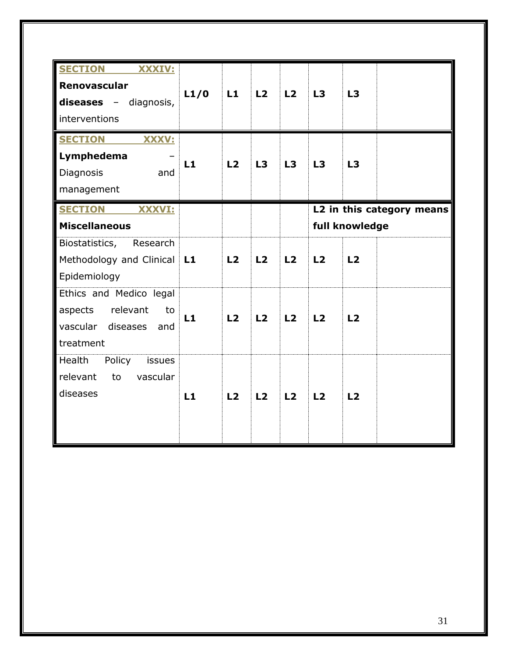| <b>SECTION</b><br>XXXIV:       |      |    |    |                |                |    |                           |
|--------------------------------|------|----|----|----------------|----------------|----|---------------------------|
| Renovascular                   |      |    |    |                |                |    |                           |
| <b>diseases</b> - diagnosis,   | L1/0 | L1 | L2 | L2             | L3             | L3 |                           |
| interventions                  |      |    |    |                |                |    |                           |
| <b>SECTION</b><br><b>XXXV:</b> |      |    |    |                |                |    |                           |
| Lymphedema                     |      |    |    |                |                |    |                           |
| Diagnosis<br>and               | L1   | L2 | L3 | L3             | L3             | L3 |                           |
| management                     |      |    |    |                |                |    |                           |
|                                |      |    |    |                |                |    |                           |
| <b>SECTION</b><br>XXXVI:       |      |    |    |                |                |    | L2 in this category means |
| <b>Miscellaneous</b>           |      |    |    |                | full knowledge |    |                           |
| Biostatistics,<br>Research     |      |    |    |                |                |    |                           |
| Methodology and Clinical       | L1   | L2 | L2 | L <sub>2</sub> | L <sub>2</sub> | L2 |                           |
| Epidemiology                   |      |    |    |                |                |    |                           |
| Ethics and Medico legal        |      |    |    |                |                |    |                           |
| relevant<br>aspects<br>to      |      |    |    |                |                |    |                           |
| vascular diseases<br>and       | L1   | L2 | L2 | L <sub>2</sub> | L2             | L2 |                           |
|                                |      |    |    |                |                |    |                           |
| treatment                      |      |    |    |                |                |    |                           |
| Health<br>Policy<br>issues     |      |    |    |                |                |    |                           |
| relevant<br>vascular<br>to     |      |    |    |                |                |    |                           |
| diseases                       | L1   | L2 | L2 | L2             | L2             | L2 |                           |
|                                |      |    |    |                |                |    |                           |
|                                |      |    |    |                |                |    |                           |
|                                |      |    |    |                |                |    |                           |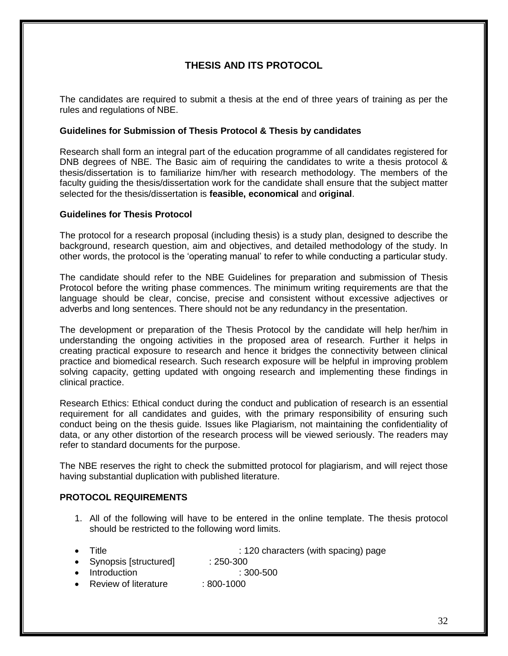# **THESIS AND ITS PROTOCOL**

The candidates are required to submit a thesis at the end of three years of training as per the rules and regulations of NBE.

#### **Guidelines for Submission of Thesis Protocol & Thesis by candidates**

Research shall form an integral part of the education programme of all candidates registered for DNB degrees of NBE. The Basic aim of requiring the candidates to write a thesis protocol & thesis/dissertation is to familiarize him/her with research methodology. The members of the faculty guiding the thesis/dissertation work for the candidate shall ensure that the subject matter selected for the thesis/dissertation is **feasible, economical** and **original**.

#### **Guidelines for Thesis Protocol**

The protocol for a research proposal (including thesis) is a study plan, designed to describe the background, research question, aim and objectives, and detailed methodology of the study. In other words, the protocol is the 'operating manual' to refer to while conducting a particular study.

The candidate should refer to the NBE Guidelines for preparation and submission of Thesis Protocol before the writing phase commences. The minimum writing requirements are that the language should be clear, concise, precise and consistent without excessive adjectives or adverbs and long sentences. There should not be any redundancy in the presentation.

The development or preparation of the Thesis Protocol by the candidate will help her/him in understanding the ongoing activities in the proposed area of research. Further it helps in creating practical exposure to research and hence it bridges the connectivity between clinical practice and biomedical research. Such research exposure will be helpful in improving problem solving capacity, getting updated with ongoing research and implementing these findings in clinical practice.

Research Ethics: Ethical conduct during the conduct and publication of research is an essential requirement for all candidates and guides, with the primary responsibility of ensuring such conduct being on the thesis guide. Issues like Plagiarism, not maintaining the confidentiality of data, or any other distortion of the research process will be viewed seriously. The readers may refer to standard documents for the purpose.

The NBE reserves the right to check the submitted protocol for plagiarism, and will reject those having substantial duplication with published literature.

#### **PROTOCOL REQUIREMENTS**

- 1. All of the following will have to be entered in the online template. The thesis protocol should be restricted to the following word limits.
- 

• Title : 120 characters (with spacing) page

- Synopsis [structured] : 250-300
- Introduction : 300-500
- Review of literature : 800-1000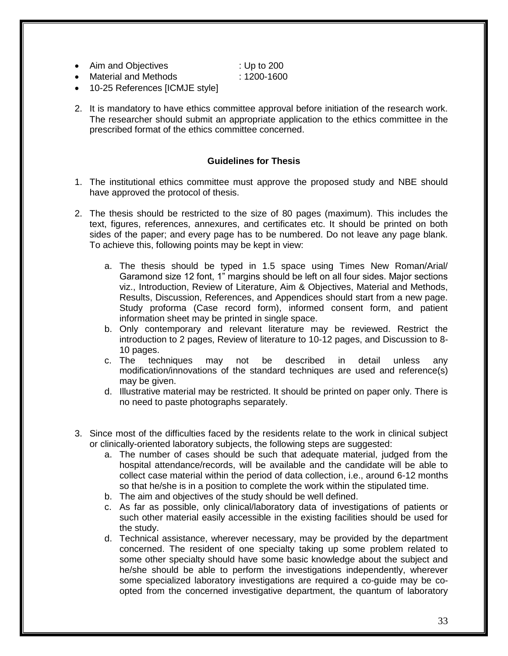| Aim and Objectives | : Up to 200 |
|--------------------|-------------|
|                    |             |

- Material and Methods : 1200-1600
- 10-25 References [ICMJE style]
- 2. It is mandatory to have ethics committee approval before initiation of the research work. The researcher should submit an appropriate application to the ethics committee in the prescribed format of the ethics committee concerned.

# **Guidelines for Thesis**

- 1. The institutional ethics committee must approve the proposed study and NBE should have approved the protocol of thesis.
- 2. The thesis should be restricted to the size of 80 pages (maximum). This includes the text, figures, references, annexures, and certificates etc. It should be printed on both sides of the paper; and every page has to be numbered. Do not leave any page blank. To achieve this, following points may be kept in view:
	- a. The thesis should be typed in 1.5 space using Times New Roman/Arial/ Garamond size 12 font, 1" margins should be left on all four sides. Major sections viz., Introduction, Review of Literature, Aim & Objectives, Material and Methods, Results, Discussion, References, and Appendices should start from a new page. Study proforma (Case record form), informed consent form, and patient information sheet may be printed in single space.
	- b. Only contemporary and relevant literature may be reviewed. Restrict the introduction to 2 pages, Review of literature to 10-12 pages, and Discussion to 8- 10 pages.<br>c. The tec
	- techniques may not be described in detail unless any modification/innovations of the standard techniques are used and reference(s) may be given.
	- d. Illustrative material may be restricted. It should be printed on paper only. There is no need to paste photographs separately.
- 3. Since most of the difficulties faced by the residents relate to the work in clinical subject or clinically-oriented laboratory subjects, the following steps are suggested:
	- a. The number of cases should be such that adequate material, judged from the hospital attendance/records, will be available and the candidate will be able to collect case material within the period of data collection, i.e., around 6-12 months so that he/she is in a position to complete the work within the stipulated time.
	- b. The aim and objectives of the study should be well defined.
	- c. As far as possible, only clinical/laboratory data of investigations of patients or such other material easily accessible in the existing facilities should be used for the study.
	- d. Technical assistance, wherever necessary, may be provided by the department concerned. The resident of one specialty taking up some problem related to some other specialty should have some basic knowledge about the subject and he/she should be able to perform the investigations independently, wherever some specialized laboratory investigations are required a co-guide may be coopted from the concerned investigative department, the quantum of laboratory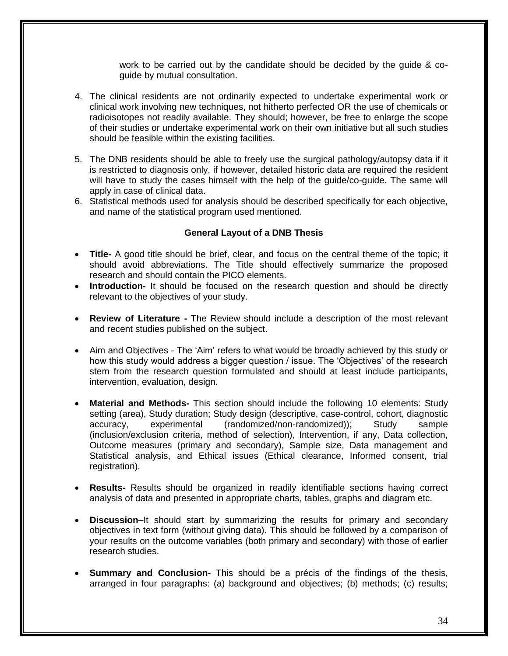work to be carried out by the candidate should be decided by the guide & coguide by mutual consultation.

- 4. The clinical residents are not ordinarily expected to undertake experimental work or clinical work involving new techniques, not hitherto perfected OR the use of chemicals or radioisotopes not readily available. They should; however, be free to enlarge the scope of their studies or undertake experimental work on their own initiative but all such studies should be feasible within the existing facilities.
- 5. The DNB residents should be able to freely use the surgical pathology/autopsy data if it is restricted to diagnosis only, if however, detailed historic data are required the resident will have to study the cases himself with the help of the guide/co-guide. The same will apply in case of clinical data.
- 6. Statistical methods used for analysis should be described specifically for each objective, and name of the statistical program used mentioned.

#### **General Layout of a DNB Thesis**

- **Title-** A good title should be brief, clear, and focus on the central theme of the topic; it should avoid abbreviations. The Title should effectively summarize the proposed research and should contain the PICO elements.
- **Introduction-** It should be focused on the research question and should be directly relevant to the objectives of your study.
- **Review of Literature -** The Review should include a description of the most relevant and recent studies published on the subject.
- Aim and Objectives The 'Aim' refers to what would be broadly achieved by this study or how this study would address a bigger question / issue. The 'Objectives' of the research stem from the research question formulated and should at least include participants, intervention, evaluation, design.
- **Material and Methods-** This section should include the following 10 elements: Study setting (area), Study duration; Study design (descriptive, case-control, cohort, diagnostic accuracy, experimental (randomized/non-randomized)); Study sample (inclusion/exclusion criteria, method of selection), Intervention, if any, Data collection, Outcome measures (primary and secondary), Sample size, Data management and Statistical analysis, and Ethical issues (Ethical clearance, Informed consent, trial registration).
- **Results-** Results should be organized in readily identifiable sections having correct analysis of data and presented in appropriate charts, tables, graphs and diagram etc.
- **Discussion–**It should start by summarizing the results for primary and secondary objectives in text form (without giving data). This should be followed by a comparison of your results on the outcome variables (both primary and secondary) with those of earlier research studies.
- **Summary and Conclusion-** This should be a précis of the findings of the thesis, arranged in four paragraphs: (a) background and objectives; (b) methods; (c) results;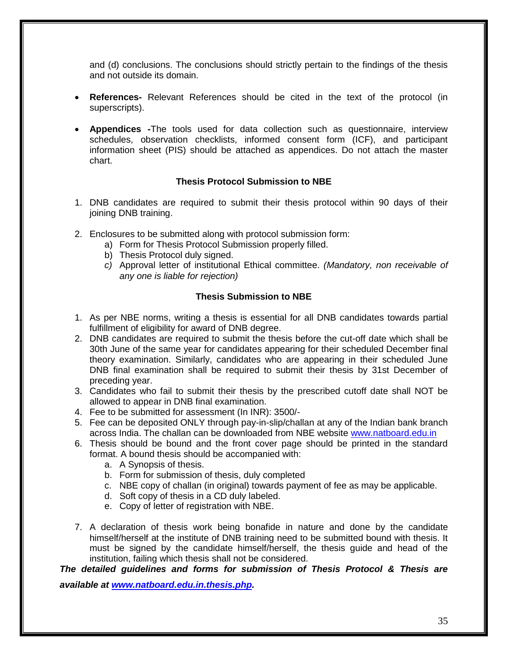and (d) conclusions. The conclusions should strictly pertain to the findings of the thesis and not outside its domain.

- **References-** Relevant References should be cited in the text of the protocol (in superscripts).
- **Appendices -**The tools used for data collection such as questionnaire, interview schedules, observation checklists, informed consent form (ICF), and participant information sheet (PIS) should be attached as appendices. Do not attach the master chart.

# **Thesis Protocol Submission to NBE**

- 1. DNB candidates are required to submit their thesis protocol within 90 days of their joining DNB training.
- 2. Enclosures to be submitted along with protocol submission form:
	- a) Form for Thesis Protocol Submission properly filled.
	- b) Thesis Protocol duly signed.
	- *c)* Approval letter of institutional Ethical committee. *(Mandatory, non receivable of any one is liable for rejection)*

# **Thesis Submission to NBE**

- 1. As per NBE norms, writing a thesis is essential for all DNB candidates towards partial fulfillment of eligibility for award of DNB degree.
- 2. DNB candidates are required to submit the thesis before the cut-off date which shall be 30th June of the same year for candidates appearing for their scheduled December final theory examination. Similarly, candidates who are appearing in their scheduled June DNB final examination shall be required to submit their thesis by 31st December of preceding year.
- 3. Candidates who fail to submit their thesis by the prescribed cutoff date shall NOT be allowed to appear in DNB final examination.
- 4. Fee to be submitted for assessment (In INR): 3500/-
- 5. Fee can be deposited ONLY through pay-in-slip/challan at any of the Indian bank branch across India. The challan can be downloaded from NBE website [www.natboard.edu.in](http://www.natboard.edu.in/)
- 6. Thesis should be bound and the front cover page should be printed in the standard format. A bound thesis should be accompanied with:
	- a. A Synopsis of thesis.
	- b. Form for submission of thesis, duly completed
	- c. NBE copy of challan (in original) towards payment of fee as may be applicable.
	- d. Soft copy of thesis in a CD duly labeled.
	- e. Copy of letter of registration with NBE.
- 7. A declaration of thesis work being bonafide in nature and done by the candidate himself/herself at the institute of DNB training need to be submitted bound with thesis. It must be signed by the candidate himself/herself, the thesis guide and head of the institution, failing which thesis shall not be considered.

# *The detailed guidelines and forms for submission of Thesis Protocol & Thesis are*

*available at [www.natboard.edu.in.thesis.php.](http://www.natboard.edu.in.thesis.php/)*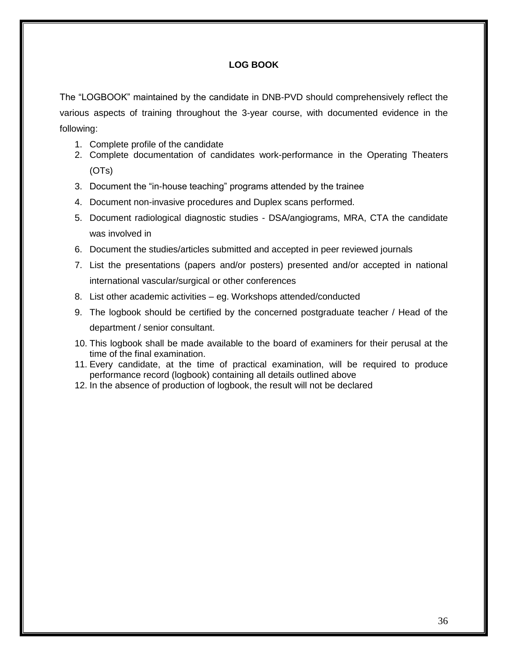# **LOG BOOK**

The "LOGBOOK" maintained by the candidate in DNB-PVD should comprehensively reflect the various aspects of training throughout the 3-year course, with documented evidence in the following:

- 1. Complete profile of the candidate
- 2. Complete documentation of candidates work-performance in the Operating Theaters (OTs)
- 3. Document the "in-house teaching" programs attended by the trainee
- 4. Document non-invasive procedures and Duplex scans performed.
- 5. Document radiological diagnostic studies DSA/angiograms, MRA, CTA the candidate was involved in
- 6. Document the studies/articles submitted and accepted in peer reviewed journals
- 7. List the presentations (papers and/or posters) presented and/or accepted in national international vascular/surgical or other conferences
- 8. List other academic activities eg. Workshops attended/conducted
- 9. The logbook should be certified by the concerned postgraduate teacher / Head of the department / senior consultant.
- 10. This logbook shall be made available to the board of examiners for their perusal at the time of the final examination.
- 11. Every candidate, at the time of practical examination, will be required to produce performance record (logbook) containing all details outlined above
- 12. In the absence of production of logbook, the result will not be declared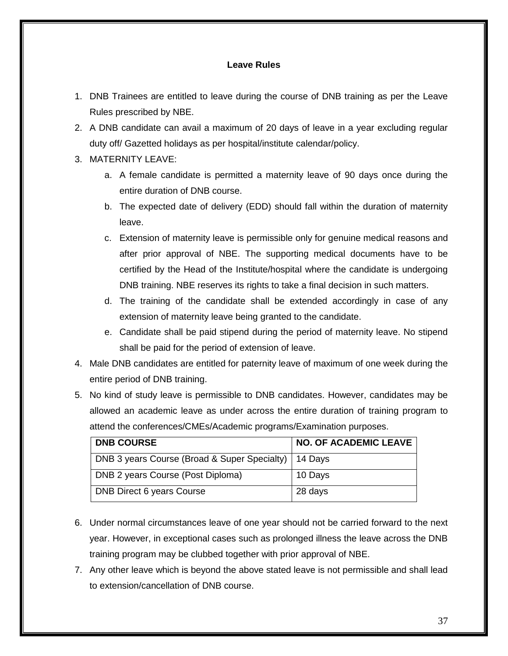# **Leave Rules**

- 1. DNB Trainees are entitled to leave during the course of DNB training as per the Leave Rules prescribed by NBE.
- 2. A DNB candidate can avail a maximum of 20 days of leave in a year excluding regular duty off/ Gazetted holidays as per hospital/institute calendar/policy.
- 3. MATERNITY LEAVE:
	- a. A female candidate is permitted a maternity leave of 90 days once during the entire duration of DNB course.
	- b. The expected date of delivery (EDD) should fall within the duration of maternity leave.
	- c. Extension of maternity leave is permissible only for genuine medical reasons and after prior approval of NBE. The supporting medical documents have to be certified by the Head of the Institute/hospital where the candidate is undergoing DNB training. NBE reserves its rights to take a final decision in such matters.
	- d. The training of the candidate shall be extended accordingly in case of any extension of maternity leave being granted to the candidate.
	- e. Candidate shall be paid stipend during the period of maternity leave. No stipend shall be paid for the period of extension of leave.
- 4. Male DNB candidates are entitled for paternity leave of maximum of one week during the entire period of DNB training.
- 5. No kind of study leave is permissible to DNB candidates. However, candidates may be allowed an academic leave as under across the entire duration of training program to attend the conferences/CMEs/Academic programs/Examination purposes.

| <b>DNB COURSE</b>                            | <b>NO. OF ACADEMIC LEAVE</b> |
|----------------------------------------------|------------------------------|
| DNB 3 years Course (Broad & Super Specialty) | 14 Days                      |
| DNB 2 years Course (Post Diploma)            | 10 Days                      |
| DNB Direct 6 years Course                    | 28 days                      |

- 6. Under normal circumstances leave of one year should not be carried forward to the next year. However, in exceptional cases such as prolonged illness the leave across the DNB training program may be clubbed together with prior approval of NBE.
- 7. Any other leave which is beyond the above stated leave is not permissible and shall lead to extension/cancellation of DNB course.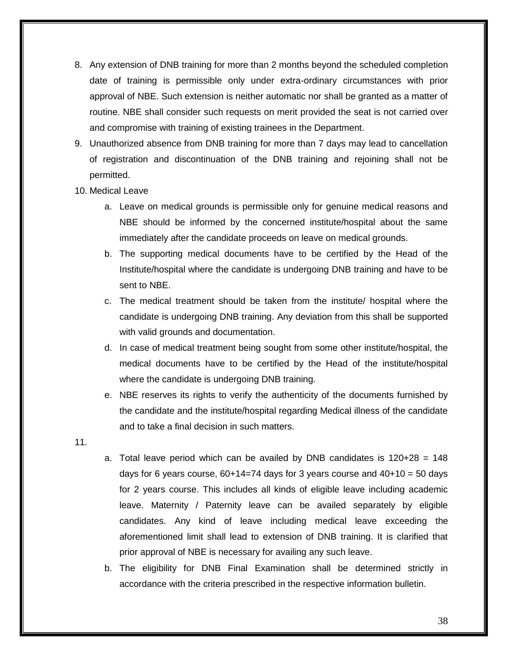- 8. Any extension of DNB training for more than 2 months beyond the scheduled completion date of training is permissible only under extra-ordinary circumstances with prior approval of NBE. Such extension is neither automatic nor shall be granted as a matter of routine. NBE shall consider such requests on merit provided the seat is not carried over and compromise with training of existing trainees in the Department.
- 9. Unauthorized absence from DNB training for more than 7 days may lead to cancellation of registration and discontinuation of the DNB training and rejoining shall not be permitted.
- 10. Medical Leave
	- a. Leave on medical grounds is permissible only for genuine medical reasons and NBE should be informed by the concerned institute/hospital about the same immediately after the candidate proceeds on leave on medical grounds.
	- b. The supporting medical documents have to be certified by the Head of the Institute/hospital where the candidate is undergoing DNB training and have to be sent to NBE.
	- c. The medical treatment should be taken from the institute/ hospital where the candidate is undergoing DNB training. Any deviation from this shall be supported with valid grounds and documentation.
	- d. In case of medical treatment being sought from some other institute/hospital, the medical documents have to be certified by the Head of the institute/hospital where the candidate is undergoing DNB training.
	- e. NBE reserves its rights to verify the authenticity of the documents furnished by the candidate and the institute/hospital regarding Medical illness of the candidate and to take a final decision in such matters.
- 11.
- a. Total leave period which can be availed by DNB candidates is  $120+28 = 148$ days for 6 years course,  $60+14=74$  days for 3 years course and  $40+10=50$  days for 2 years course. This includes all kinds of eligible leave including academic leave. Maternity / Paternity leave can be availed separately by eligible candidates. Any kind of leave including medical leave exceeding the aforementioned limit shall lead to extension of DNB training. It is clarified that prior approval of NBE is necessary for availing any such leave.
- b. The eligibility for DNB Final Examination shall be determined strictly in accordance with the criteria prescribed in the respective information bulletin.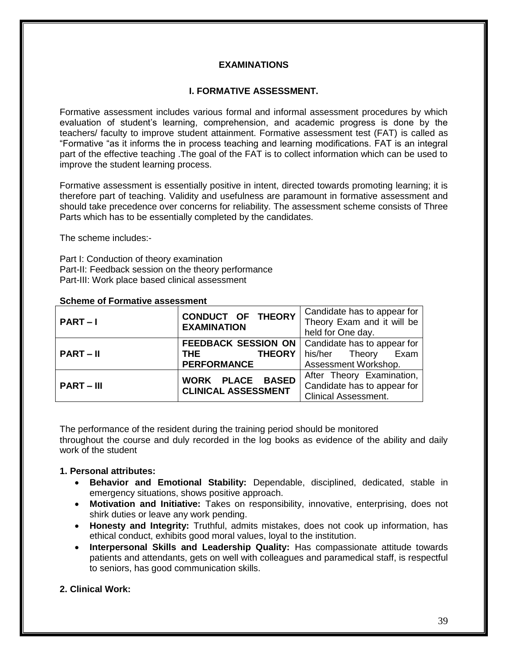# **EXAMINATIONS**

#### **I. FORMATIVE ASSESSMENT.**

Formative assessment includes various formal and informal assessment procedures by which evaluation of student's learning, comprehension, and academic progress is done by the teachers/ faculty to improve student attainment. Formative assessment test (FAT) is called as "Formative "as it informs the in process teaching and learning modifications. FAT is an integral part of the effective teaching .The goal of the FAT is to collect information which can be used to improve the student learning process.

Formative assessment is essentially positive in intent, directed towards promoting learning; it is therefore part of teaching. Validity and usefulness are paramount in formative assessment and should take precedence over concerns for reliability. The assessment scheme consists of Three Parts which has to be essentially completed by the candidates.

The scheme includes:-

Part I: Conduction of theory examination Part-II: Feedback session on the theory performance Part-III: Work place based clinical assessment

| $PART-I$     | CONDUCT OF THEORY<br><b>EXAMINATION</b>                                         | Candidate has to appear for<br>Theory Exam and it will be<br>held for One day.          |
|--------------|---------------------------------------------------------------------------------|-----------------------------------------------------------------------------------------|
| $PART - II$  | <b>FEEDBACK SESSION ON</b><br><b>THEORY</b><br><b>THE</b><br><b>PERFORMANCE</b> | Candidate has to appear for<br>Exam<br>his/her Theory<br>Assessment Workshop.           |
| $PART - III$ | WORK PLACE BASED<br><b>CLINICAL ASSESSMENT</b>                                  | After Theory Examination,<br>Candidate has to appear for<br><b>Clinical Assessment.</b> |

#### **Scheme of Formative assessment**

The performance of the resident during the training period should be monitored throughout the course and duly recorded in the log books as evidence of the ability and daily work of the student

#### **1. Personal attributes:**

- **Behavior and Emotional Stability:** Dependable, disciplined, dedicated, stable in emergency situations, shows positive approach.
- **Motivation and Initiative:** Takes on responsibility, innovative, enterprising, does not shirk duties or leave any work pending.
- **Honesty and Integrity:** Truthful, admits mistakes, does not cook up information, has ethical conduct, exhibits good moral values, loyal to the institution.
- **Interpersonal Skills and Leadership Quality:** Has compassionate attitude towards patients and attendants, gets on well with colleagues and paramedical staff, is respectful to seniors, has good communication skills.

# **2. Clinical Work:**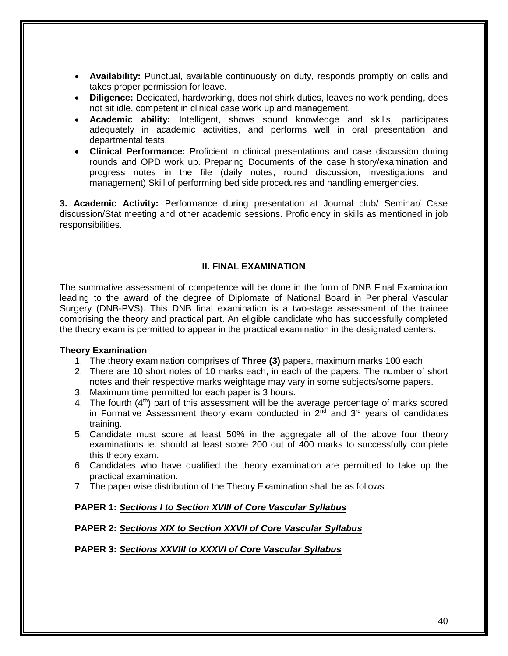- **Availability:** Punctual, available continuously on duty, responds promptly on calls and takes proper permission for leave.
- **Diligence:** Dedicated, hardworking, does not shirk duties, leaves no work pending, does not sit idle, competent in clinical case work up and management.
- **Academic ability:** Intelligent, shows sound knowledge and skills, participates adequately in academic activities, and performs well in oral presentation and departmental tests.
- **Clinical Performance:** Proficient in clinical presentations and case discussion during rounds and OPD work up. Preparing Documents of the case history/examination and progress notes in the file (daily notes, round discussion, investigations and management) Skill of performing bed side procedures and handling emergencies.

**3. Academic Activity:** Performance during presentation at Journal club/ Seminar/ Case discussion/Stat meeting and other academic sessions. Proficiency in skills as mentioned in job responsibilities.

# **II. FINAL EXAMINATION**

The summative assessment of competence will be done in the form of DNB Final Examination leading to the award of the degree of Diplomate of National Board in Peripheral Vascular Surgery (DNB-PVS). This DNB final examination is a two-stage assessment of the trainee comprising the theory and practical part. An eligible candidate who has successfully completed the theory exam is permitted to appear in the practical examination in the designated centers.

#### **Theory Examination**

- 1. The theory examination comprises of **Three (3)** papers, maximum marks 100 each
- 2. There are 10 short notes of 10 marks each, in each of the papers. The number of short notes and their respective marks weightage may vary in some subjects/some papers.
- 3. Maximum time permitted for each paper is 3 hours.
- 4. The fourth  $(4<sup>th</sup>)$  part of this assessment will be the average percentage of marks scored in Formative Assessment theory exam conducted in  $2<sup>nd</sup>$  and  $3<sup>rd</sup>$  years of candidates training.
- 5. Candidate must score at least 50% in the aggregate all of the above four theory examinations ie. should at least score 200 out of 400 marks to successfully complete this theory exam.
- 6. Candidates who have qualified the theory examination are permitted to take up the practical examination.
- 7. The paper wise distribution of the Theory Examination shall be as follows:

# **PAPER 1:** *Sections I to Section XVIII of Core Vascular Syllabus*

# **PAPER 2:** *Sections XIX to Section XXVII of Core Vascular Syllabus*

#### **PAPER 3:** *Sections XXVIII to XXXVI of Core Vascular Syllabus*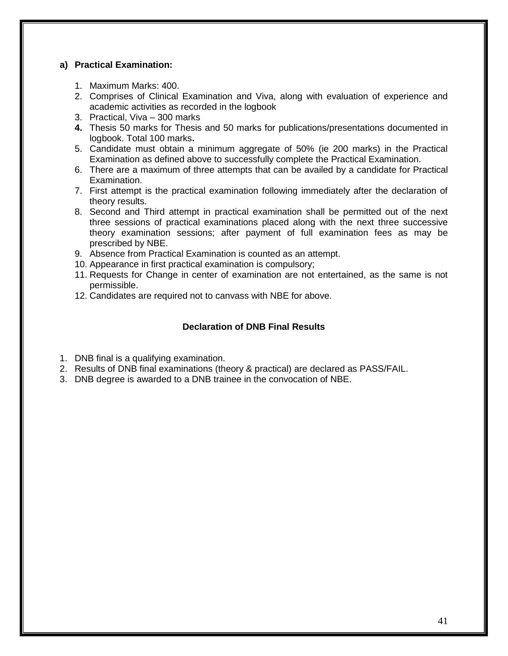# **a) Practical Examination:**

- 1. Maximum Marks: 400.
- 2. Comprises of Clinical Examination and Viva, along with evaluation of experience and academic activities as recorded in the logbook
- 3. Practical, Viva 300 marks
- **4.** Thesis 50 marks for Thesis and 50 marks for publications/presentations documented in logbook. Total 100 marks**.**
- 5. Candidate must obtain a minimum aggregate of 50% (ie 200 marks) in the Practical Examination as defined above to successfully complete the Practical Examination.
- 6. There are a maximum of three attempts that can be availed by a candidate for Practical Examination.
- 7. First attempt is the practical examination following immediately after the declaration of theory results.
- 8. Second and Third attempt in practical examination shall be permitted out of the next three sessions of practical examinations placed along with the next three successive theory examination sessions; after payment of full examination fees as may be prescribed by NBE.
- 9. Absence from Practical Examination is counted as an attempt.
- 10. Appearance in first practical examination is compulsory;
- 11. Requests for Change in center of examination are not entertained, as the same is not permissible.
- 12. Candidates are required not to canvass with NBE for above.

# **Declaration of DNB Final Results**

- 1. DNB final is a qualifying examination.
- 2. Results of DNB final examinations (theory & practical) are declared as PASS/FAIL.
- 3. DNB degree is awarded to a DNB trainee in the convocation of NBE.